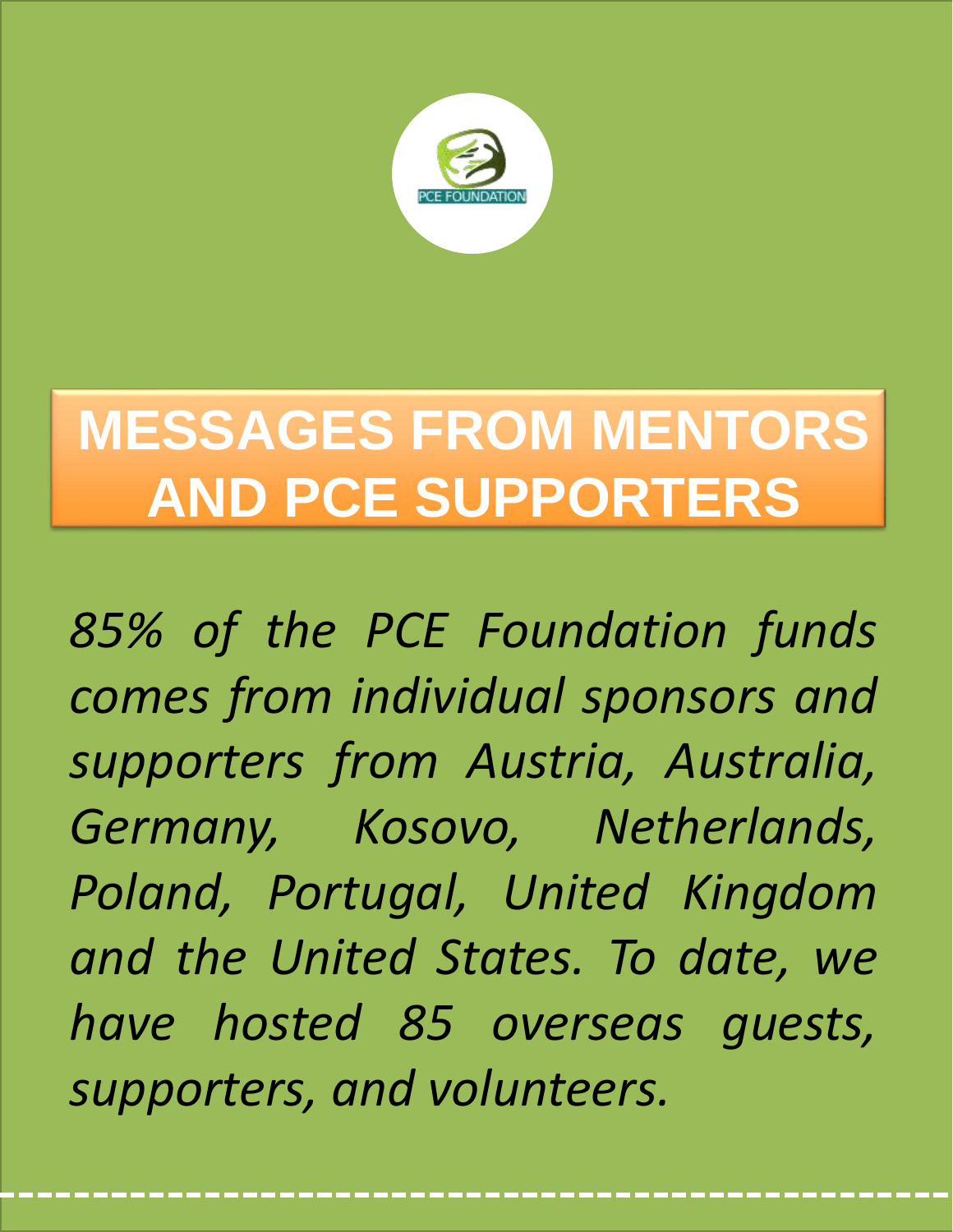

# **MESSAGES FROM MENTORS AND PCE SUPPORTERS**

*85% of the PCE Foundation funds comes from individual sponsors and supporters from Austria, Australia, Germany, Kosovo, Netherlands, Poland, Portugal, United Kingdom and the United States. To date, we have hosted 85 overseas guests, supporters, and volunteers.*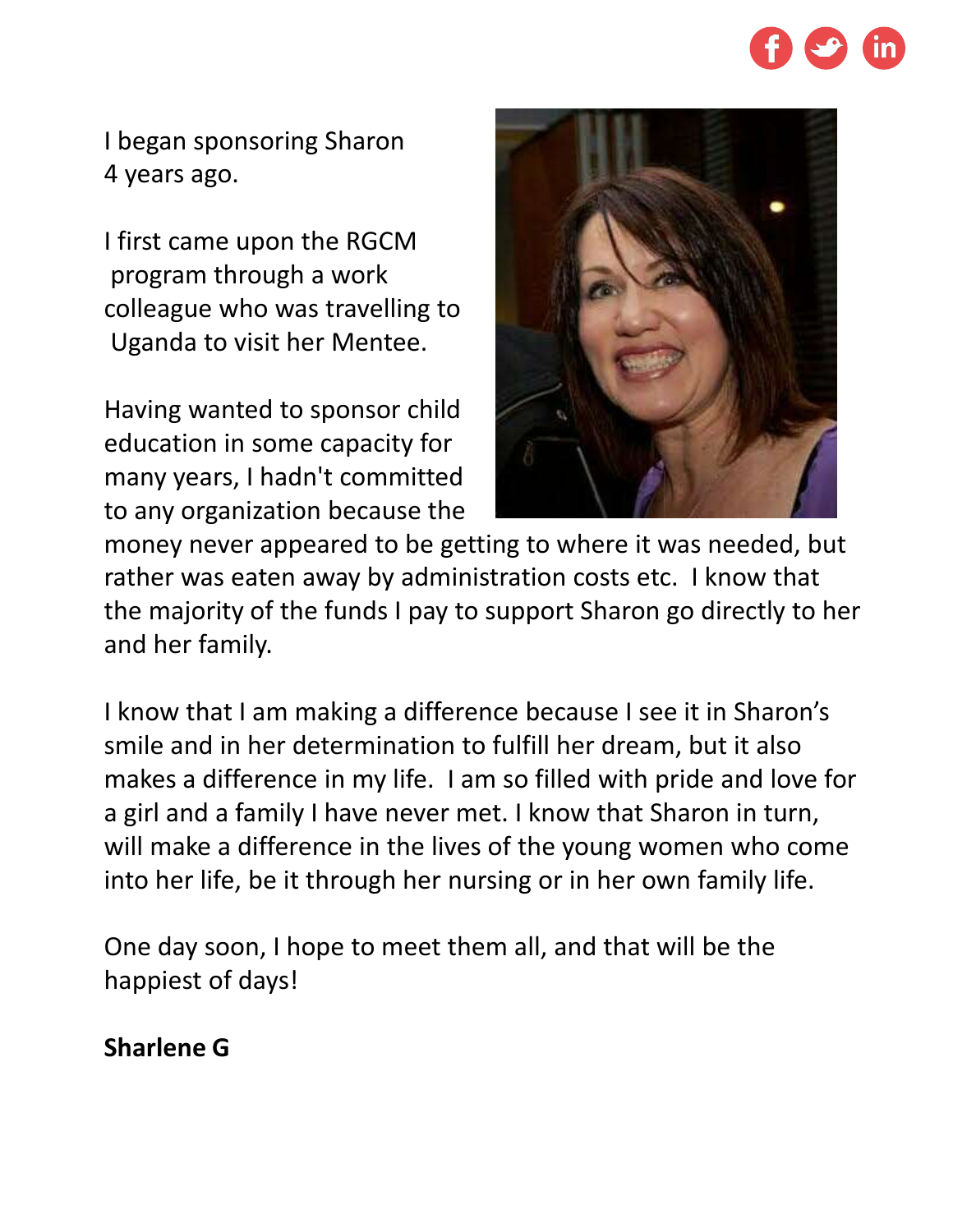

I began sponsoring Sharon 4 years ago.

I first came upon the RGCM program through a work colleague who was travelling to Uganda to visit her Mentee.

Having wanted to sponsor child education in some capacity for many years, I hadn't committed to any organization because the



money never appeared to be getting to where it was needed, but rather was eaten away by administration costs etc. I know that the majority of the funds I pay to support Sharon go directly to her and her family.

I know that I am making a difference because I see it in Sharon's smile and in her determination to fulfill her dream, but it also makes a difference in my life. I am so filled with pride and love for a girl and a family I have never met. I know that Sharon in turn, will make a difference in the lives of the young women who come into her life, be it through her nursing or in her own family life.

One day soon, I hope to meet them all, and that will be the happiest of days!

## **Sharlene G**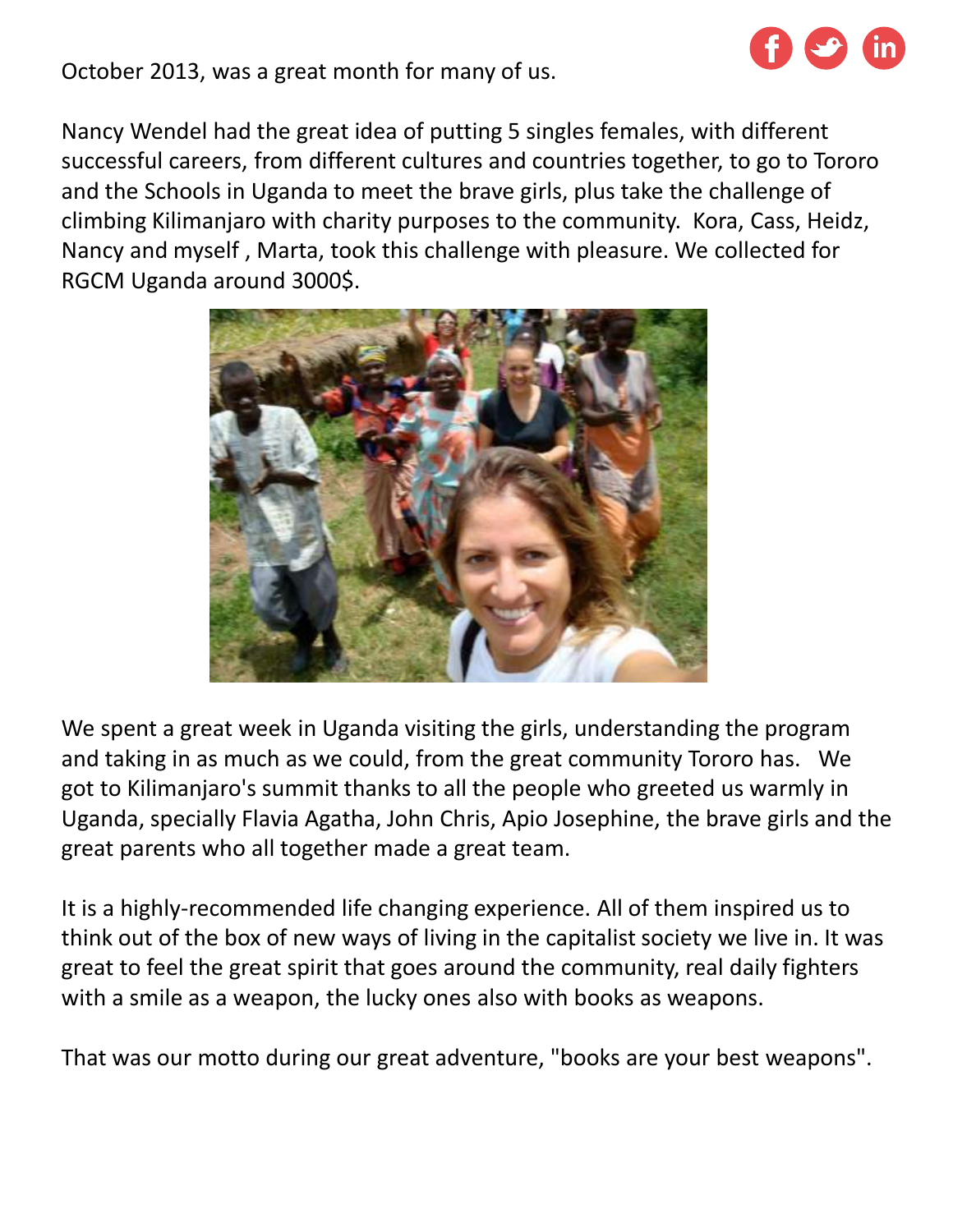

October 2013, was a great month for many of us.

Nancy Wendel had the great idea of putting 5 singles females, with different successful careers, from different cultures and countries together, to go to Tororo and the Schools in Uganda to meet the brave girls, plus take the challenge of climbing Kilimanjaro with charity purposes to the community. Kora, Cass, Heidz, Nancy and myself , Marta, took this challenge with pleasure. We collected for RGCM Uganda around 3000\$.



We spent a great week in Uganda visiting the girls, understanding the program and taking in as much as we could, from the great community Tororo has. We got to Kilimanjaro's summit thanks to all the people who greeted us warmly in Uganda, specially Flavia Agatha, John Chris, Apio Josephine, the brave girls and the great parents who all together made a great team.

It is a highly-recommended life changing experience. All of them inspired us to think out of the box of new ways of living in the capitalist society we live in. It was great to feel the great spirit that goes around the community, real daily fighters with a smile as a weapon, the lucky ones also with books as weapons.

That was our motto during our great adventure, "books are your best weapons".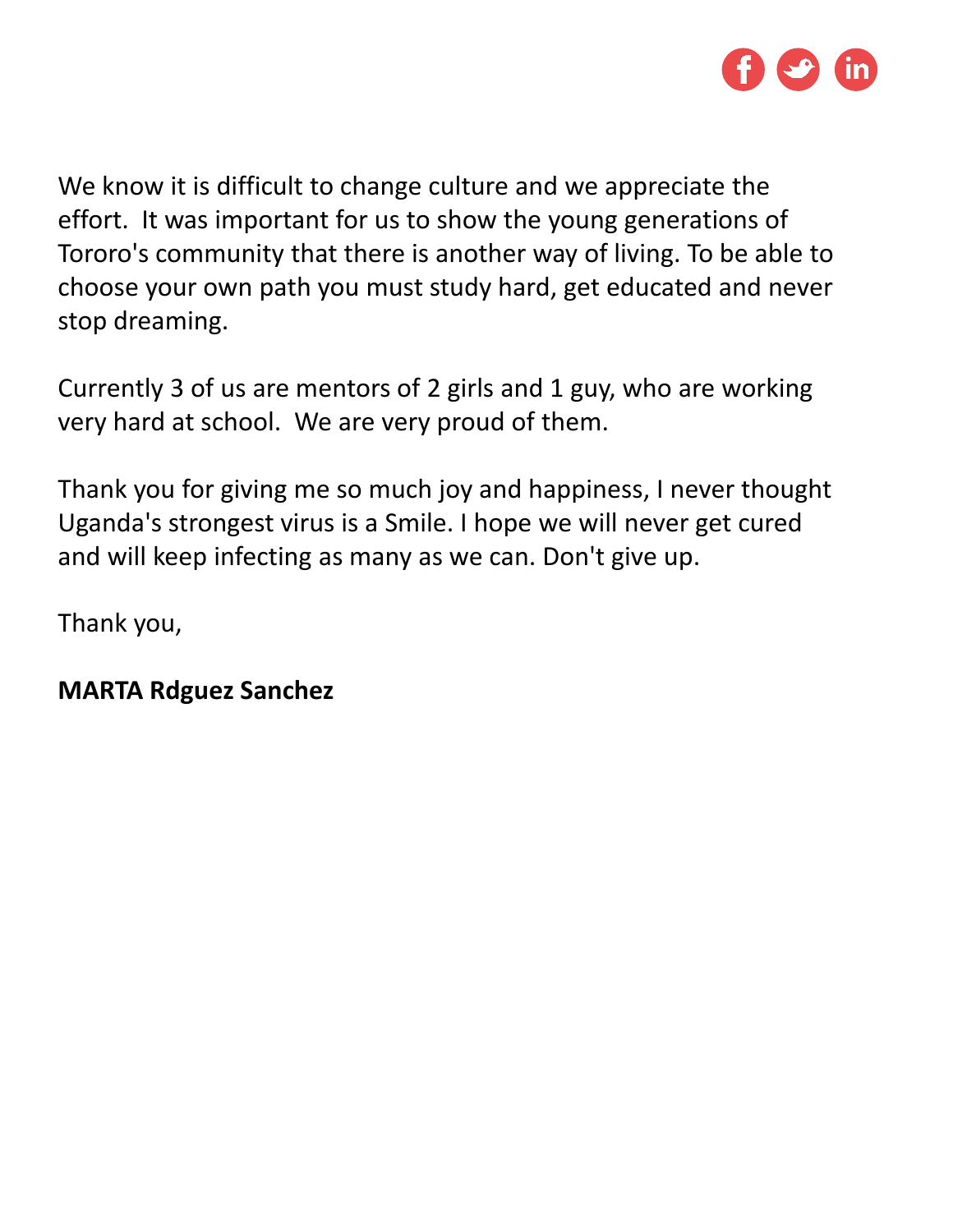

We know it is difficult to change culture and we appreciate the effort. It was important for us to show the young generations of Tororo's community that there is another way of living. To be able to choose your own path you must study hard, get educated and never stop dreaming.

Currently 3 of us are mentors of 2 girls and 1 guy, who are working very hard at school. We are very proud of them.

Thank you for giving me so much joy and happiness, I never thought Uganda's strongest virus is a Smile. I hope we will never get cured and will keep infecting as many as we can. Don't give up.

Thank you,

#### **MARTA Rdguez Sanchez**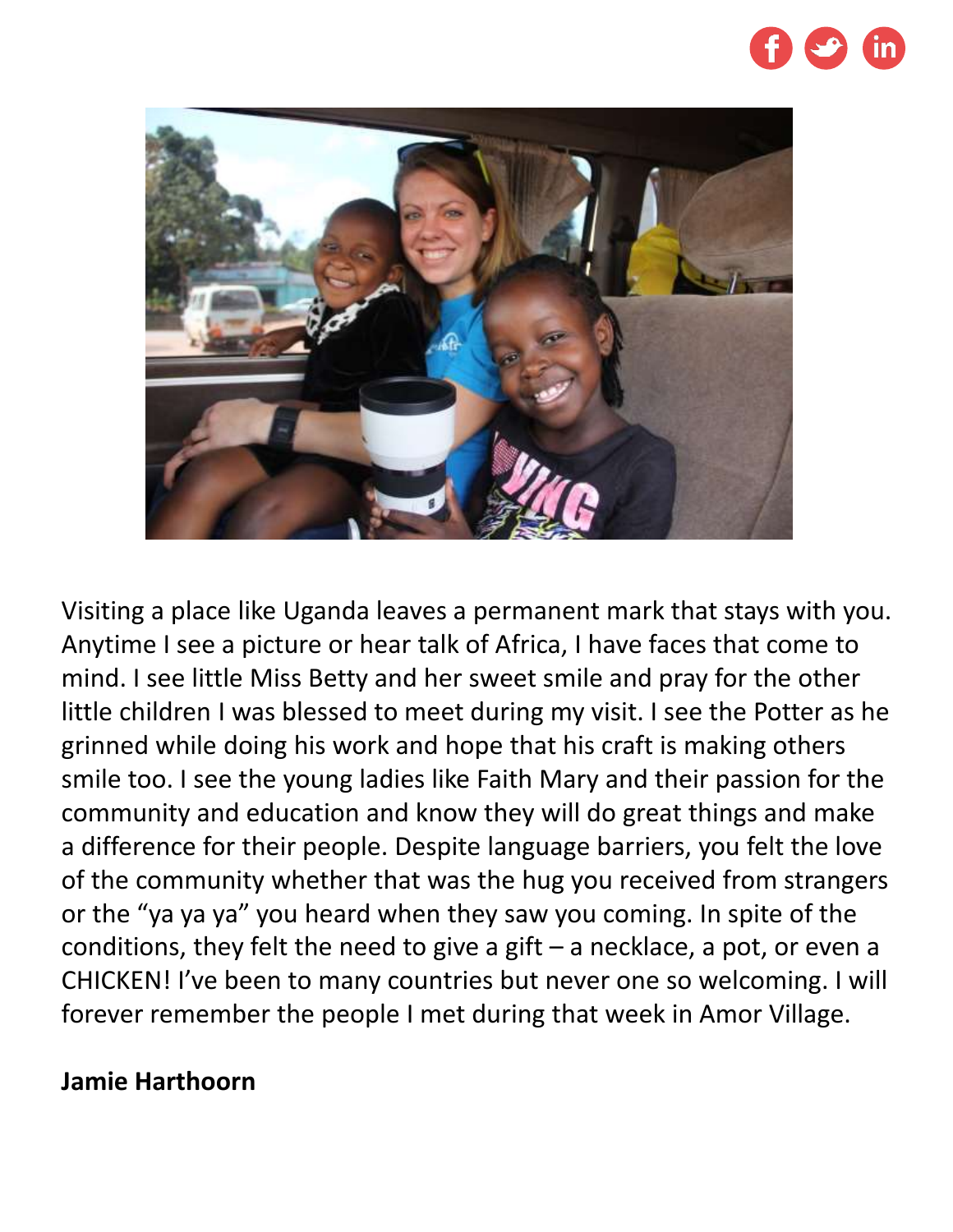



Visiting a place like Uganda leaves a permanent mark that stays with you. Anytime I see a picture or hear talk of Africa, I have faces that come to mind. I see little Miss Betty and her sweet smile and pray for the other little children I was blessed to meet during my visit. I see the Potter as he grinned while doing his work and hope that his craft is making others smile too. I see the young ladies like Faith Mary and their passion for the community and education and know they will do great things and make a difference for their people. Despite language barriers, you felt the love of the community whether that was the hug you received from strangers or the "ya ya ya" you heard when they saw you coming. In spite of the conditions, they felt the need to give a gift  $-$  a necklace, a pot, or even a CHICKEN! I've been to many countries but never one so welcoming. I will forever remember the people I met during that week in Amor Village.

#### **Jamie Harthoorn**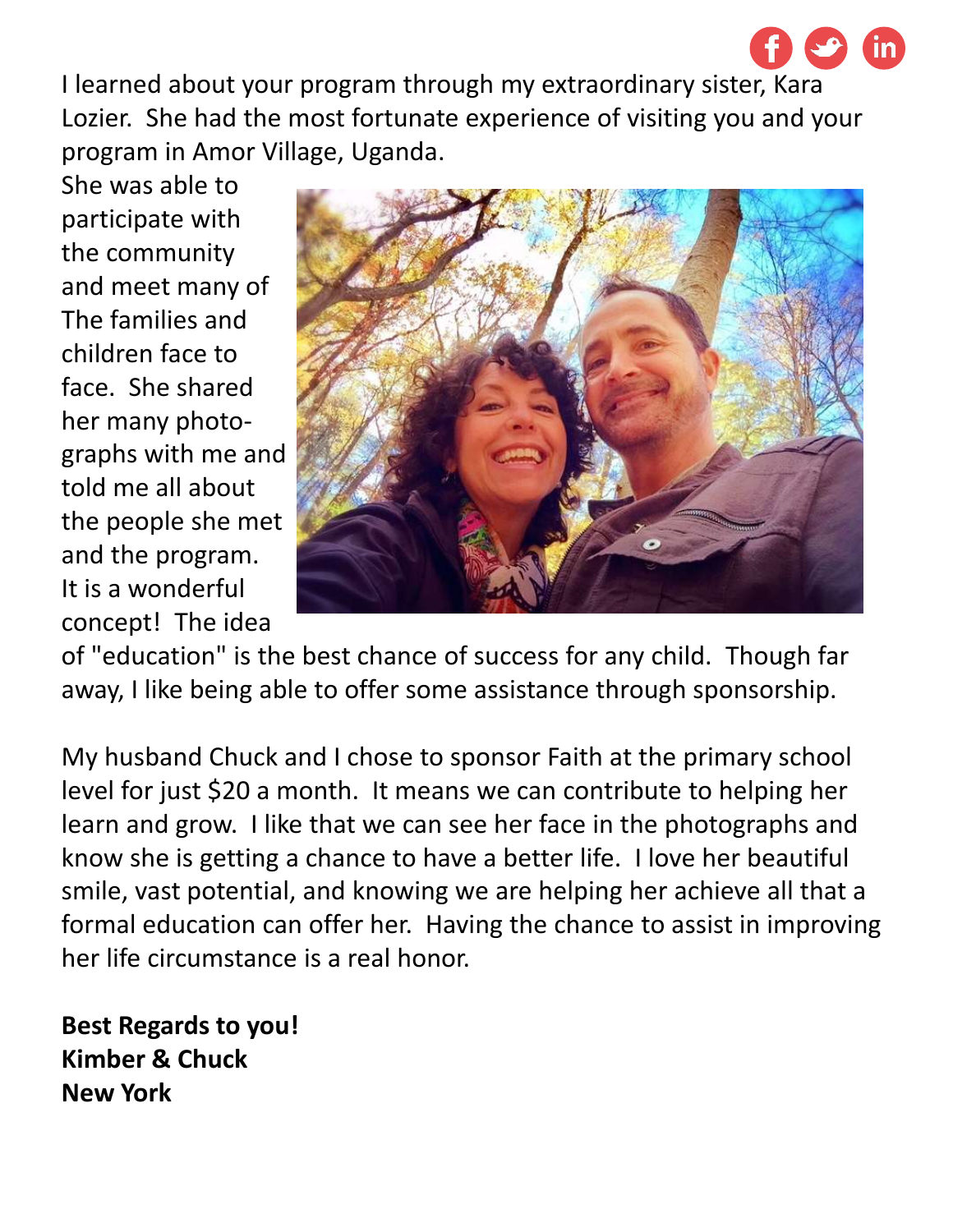I learned about your program through my extraordinary sister, Kara Lozier. She had the most fortunate experience of visiting you and your program in Amor Village, Uganda.

She was able to participate with the community and meet many of The families and children face to face. She shared her many photographs with me and told me all about the people she met and the program. It is a wonderful concept! The idea



of "education" is the best chance of success for any child. Though far away, I like being able to offer some assistance through sponsorship.

My husband Chuck and I chose to sponsor Faith at the primary school level for just \$20 a month. It means we can contribute to helping her learn and grow. I like that we can see her face in the photographs and know she is getting a chance to have a better life. I love her beautiful smile, vast potential, and knowing we are helping her achieve all that a formal education can offer her. Having the chance to assist in improving her life circumstance is a real honor.

**Best Regards to you! Kimber & Chuck New York**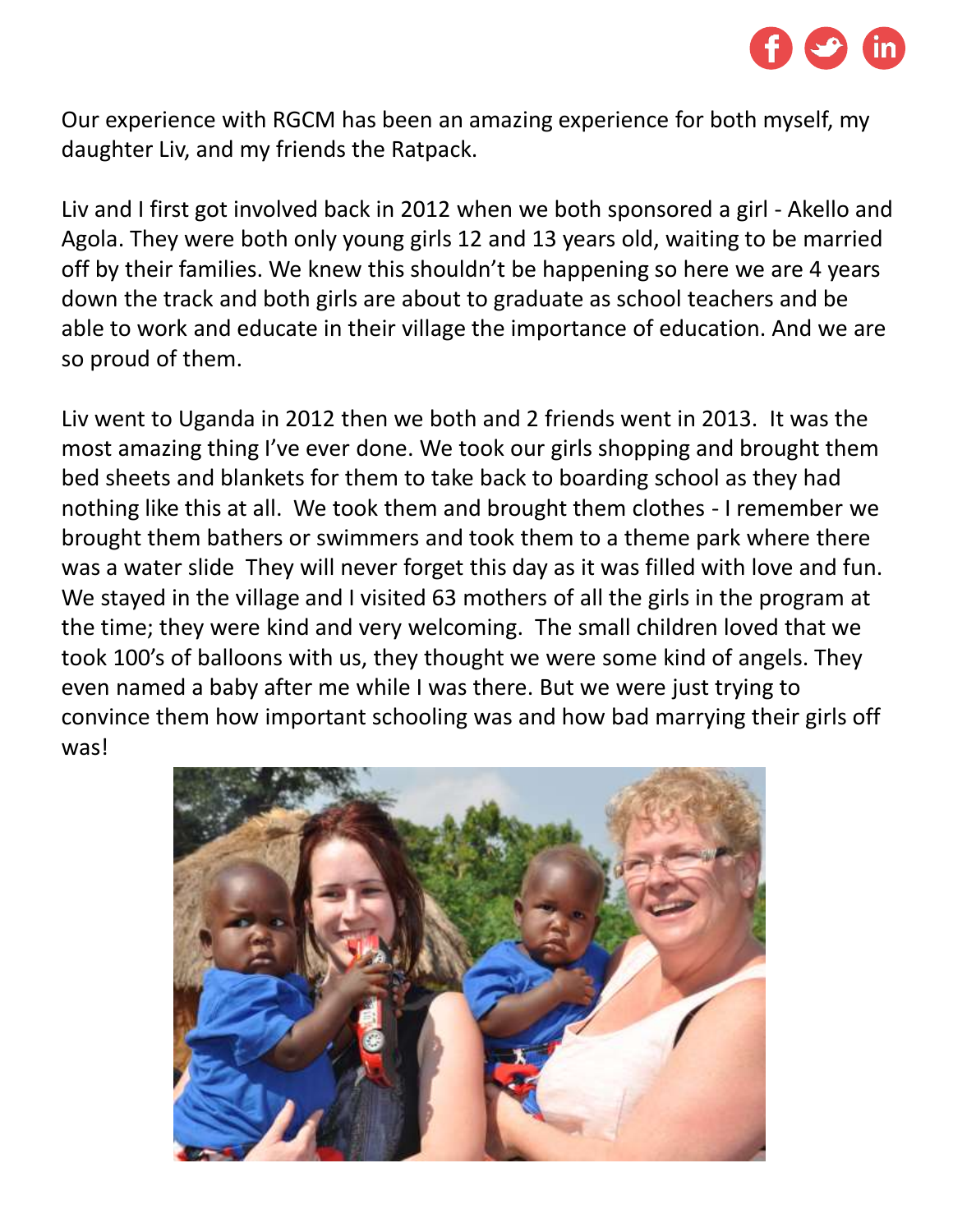

Our experience with RGCM has been an amazing experience for both myself, my daughter Liv, and my friends the Ratpack.

Liv and I first got involved back in 2012 when we both sponsored a girl - Akello and Agola. They were both only young girls 12 and 13 years old, waiting to be married off by their families. We knew this shouldn't be happening so here we are 4 years down the track and both girls are about to graduate as school teachers and be able to work and educate in their village the importance of education. And we are so proud of them.

Liv went to Uganda in 2012 then we both and 2 friends went in 2013. It was the most amazing thing I've ever done. We took our girls shopping and brought them bed sheets and blankets for them to take back to boarding school as they had nothing like this at all. We took them and brought them clothes - I remember we brought them bathers or swimmers and took them to a theme park where there was a water slide They will never forget this day as it was filled with love and fun. We stayed in the village and I visited 63 mothers of all the girls in the program at the time; they were kind and very welcoming. The small children loved that we took 100's of balloons with us, they thought we were some kind of angels. They even named a baby after me while I was there. But we were just trying to convince them how important schooling was and how bad marrying their girls off was!

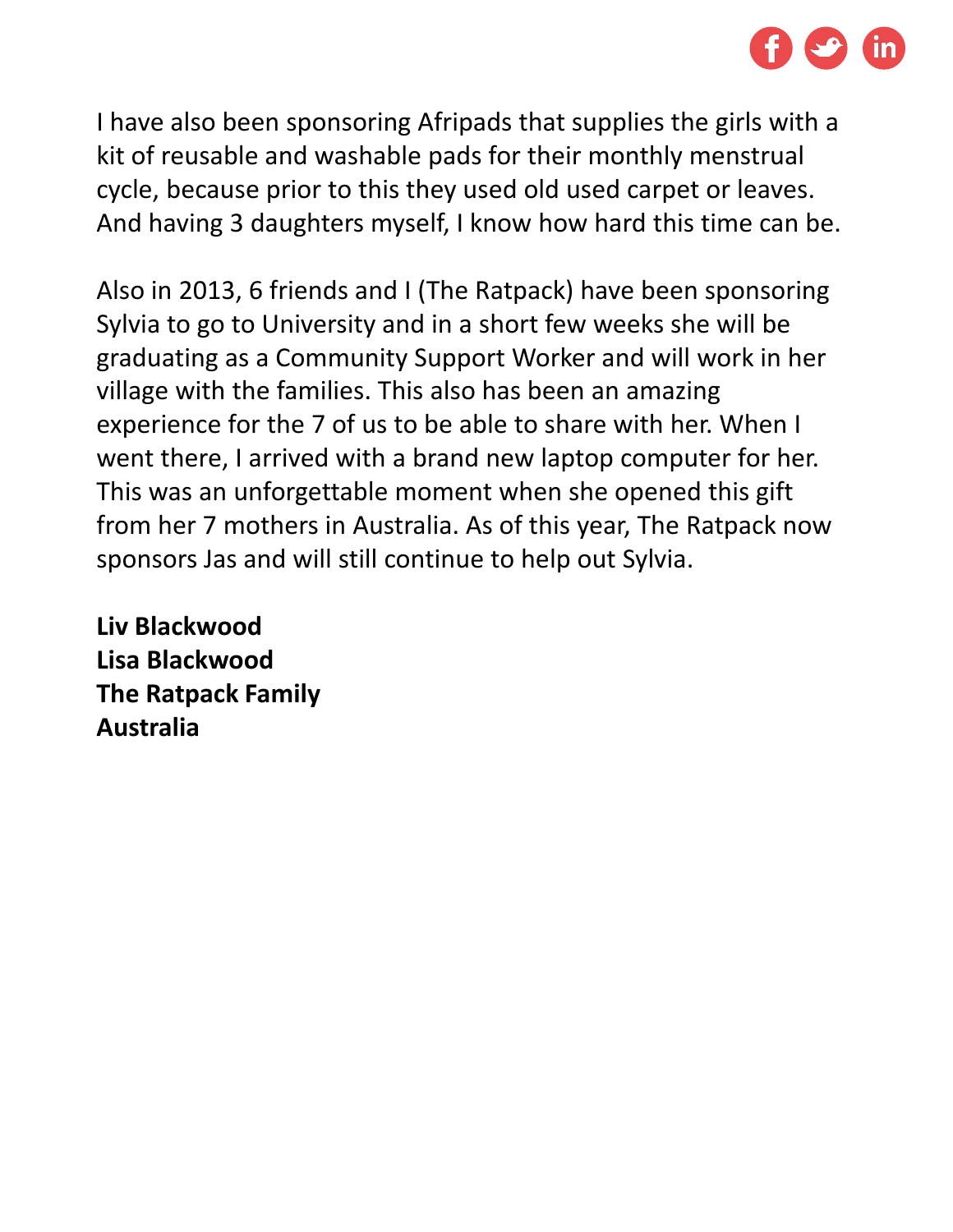

I have also been sponsoring Afripads that supplies the girls with a kit of reusable and washable pads for their monthly menstrual cycle, because prior to this they used old used carpet or leaves. And having 3 daughters myself, I know how hard this time can be.

Also in 2013, 6 friends and I (The Ratpack) have been sponsoring Sylvia to go to University and in a short few weeks she will be graduating as a Community Support Worker and will work in her village with the families. This also has been an amazing experience for the 7 of us to be able to share with her. When I went there, I arrived with a brand new laptop computer for her. This was an unforgettable moment when she opened this gift from her 7 mothers in Australia. As of this year, The Ratpack now sponsors Jas and will still continue to help out Sylvia.

**Liv Blackwood Lisa Blackwood The Ratpack Family Australia**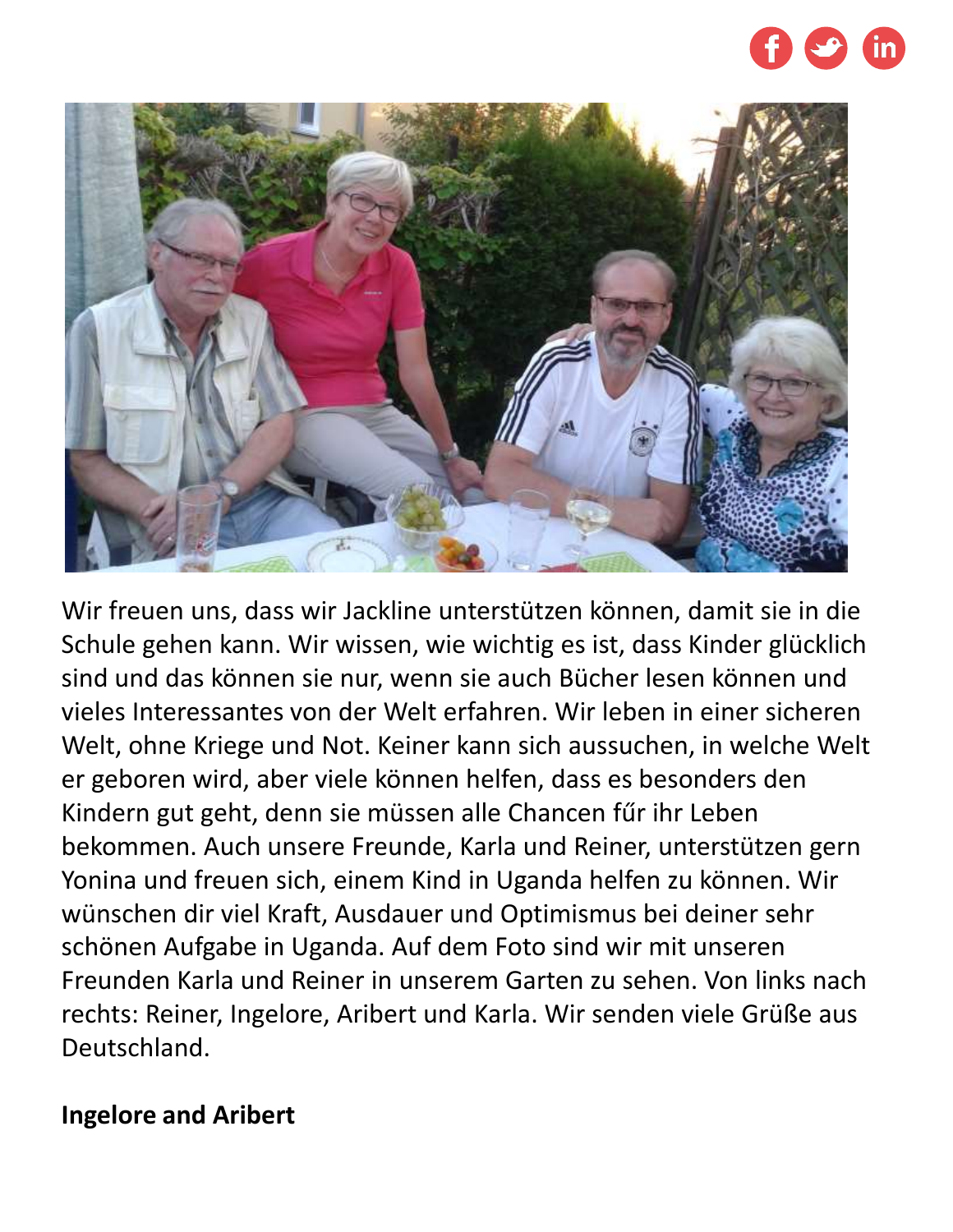



Wir freuen uns, dass wir Jackline unterstützen können, damit sie in die Schule gehen kann. Wir wissen, wie wichtig es ist, dass Kinder glücklich sind und das können sie nur, wenn sie auch Bücher lesen können und vieles Interessantes von der Welt erfahren. Wir leben in einer sicheren Welt, ohne Kriege und Not. Keiner kann sich aussuchen, in welche Welt er geboren wird, aber viele können helfen, dass es besonders den Kindern gut geht, denn sie müssen alle Chancen fűr ihr Leben bekommen. Auch unsere Freunde, Karla und Reiner, unterstützen gern Yonina und freuen sich, einem Kind in Uganda helfen zu können. Wir wünschen dir viel Kraft, Ausdauer und Optimismus bei deiner sehr schönen Aufgabe in Uganda. Auf dem Foto sind wir mit unseren Freunden Karla und Reiner in unserem Garten zu sehen. Von links nach rechts: Reiner, Ingelore, Aribert und Karla. Wir senden viele Grüße aus Deutschland.

#### **Ingelore and Aribert**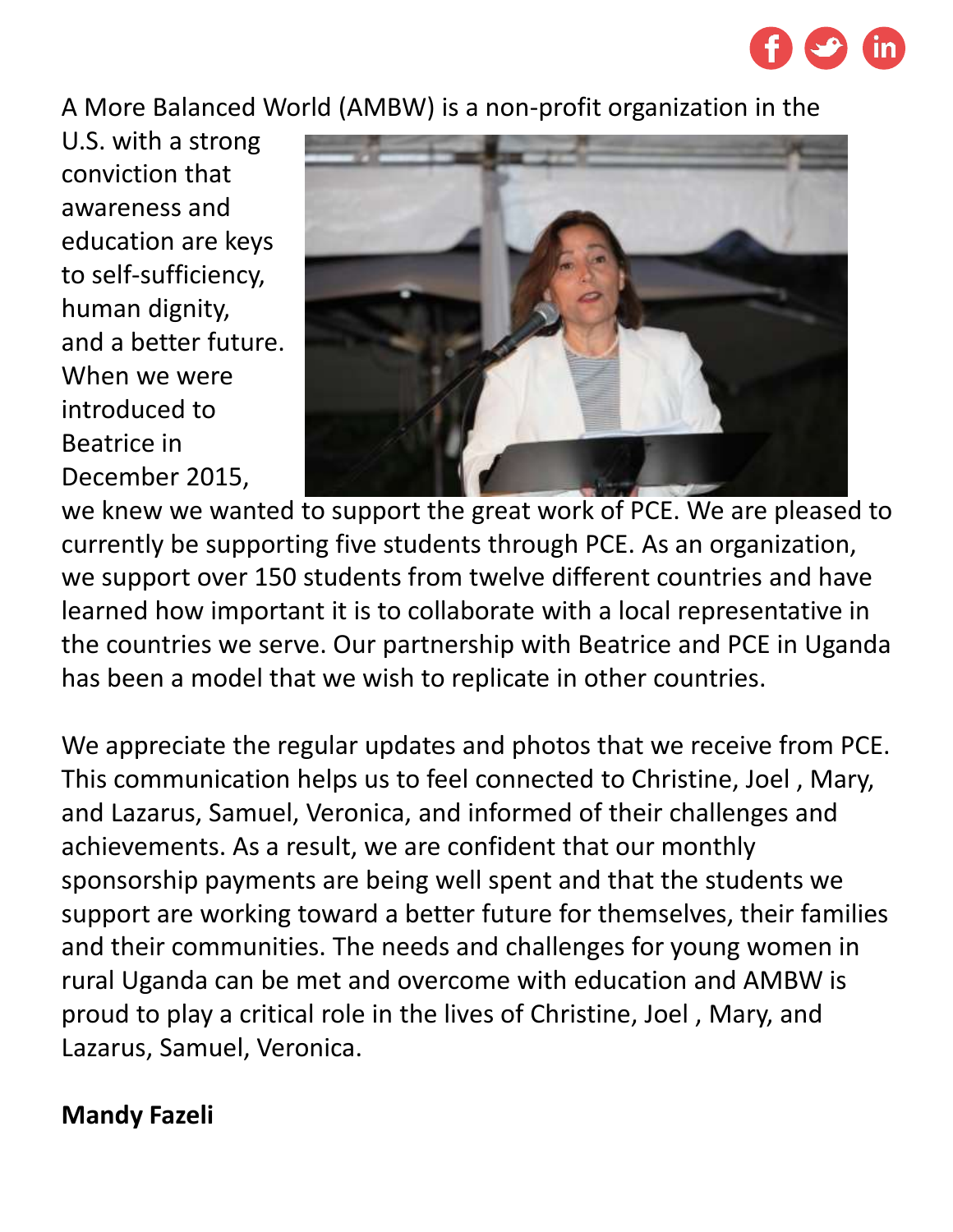

A More Balanced World (AMBW) is a non-profit organization in the

U.S. with a strong conviction that awareness and education are keys to self-sufficiency, human dignity, and a better future. When we were introduced to Beatrice in December 2015,



we knew we wanted to support the great work of PCE. We are pleased to currently be supporting five students through PCE. As an organization, we support over 150 students from twelve different countries and have learned how important it is to collaborate with a local representative in the countries we serve. Our partnership with Beatrice and PCE in Uganda has been a model that we wish to replicate in other countries.

We appreciate the regular updates and photos that we receive from PCE. This communication helps us to feel connected to Christine, Joel , Mary, and Lazarus, Samuel, Veronica, and informed of their challenges and achievements. As a result, we are confident that our monthly sponsorship payments are being well spent and that the students we support are working toward a better future for themselves, their families and their communities. The needs and challenges for young women in rural Uganda can be met and overcome with education and AMBW is proud to play a critical role in the lives of Christine, Joel , Mary, and Lazarus, Samuel, Veronica.

## **Mandy Fazeli**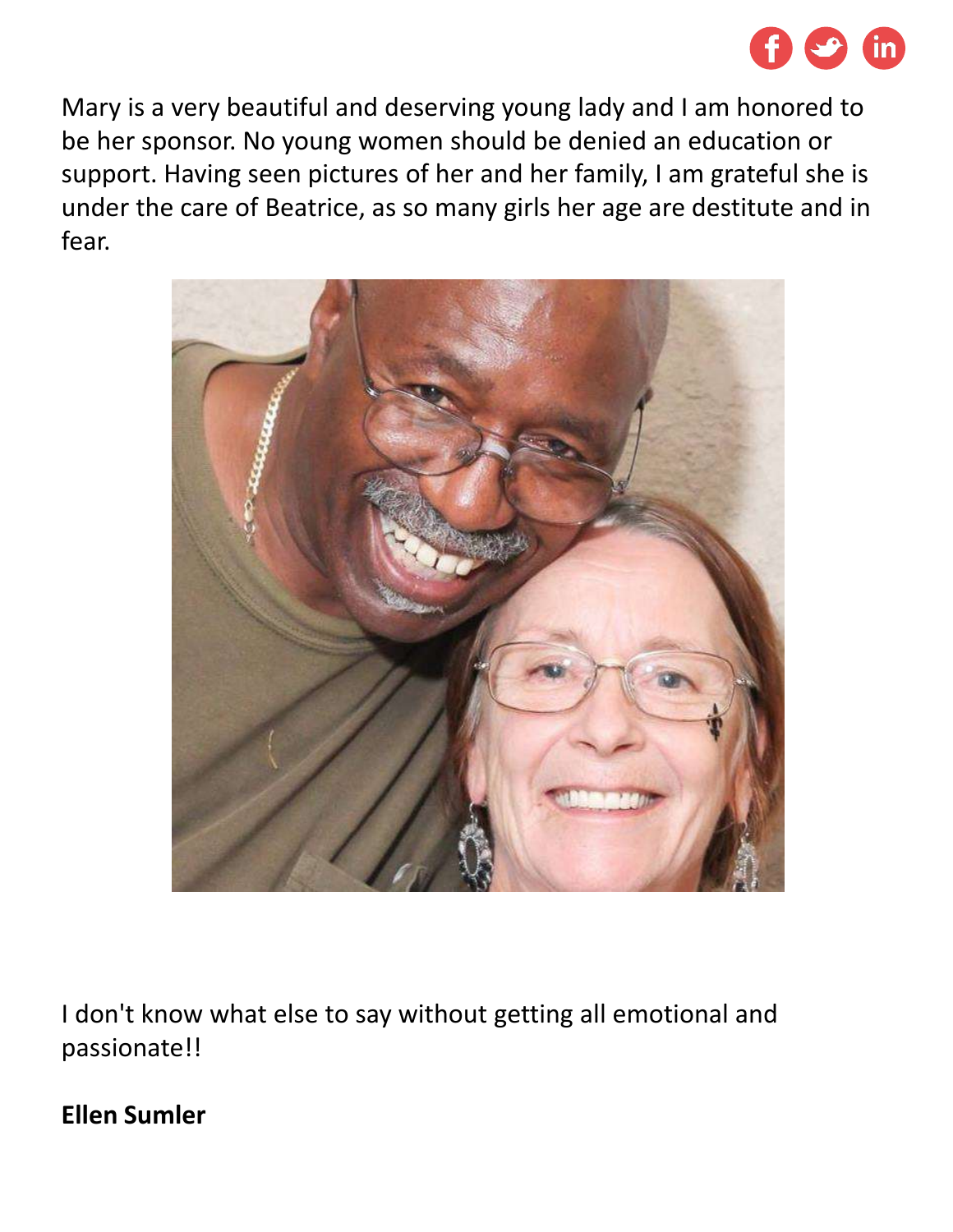

Mary is a very beautiful and deserving young lady and I am honored to be her sponsor. No young women should be denied an education or support. Having seen pictures of her and her family, I am grateful she is under the care of Beatrice, as so many girls her age are destitute and in fear.



I don't know what else to say without getting all emotional and passionate!!

## **Ellen Sumler**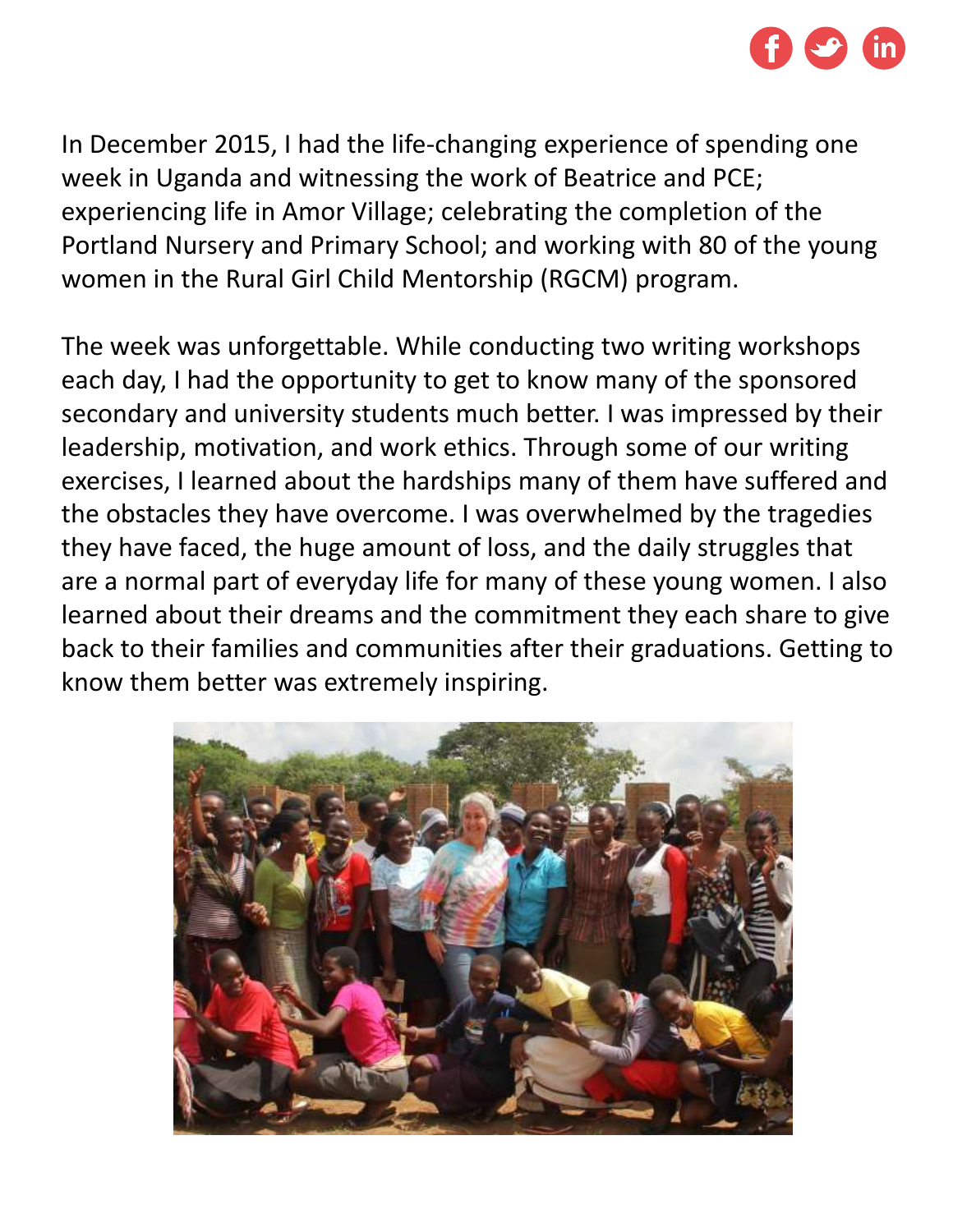

In December 2015, I had the life-changing experience of spending one week in Uganda and witnessing the work of Beatrice and PCE; experiencing life in Amor Village; celebrating the completion of the Portland Nursery and Primary School; and working with 80 of the young women in the Rural Girl Child Mentorship (RGCM) program.

The week was unforgettable. While conducting two writing workshops each day, I had the opportunity to get to know many of the sponsored secondary and university students much better. I was impressed by their leadership, motivation, and work ethics. Through some of our writing exercises, I learned about the hardships many of them have suffered and the obstacles they have overcome. I was overwhelmed by the tragedies they have faced, the huge amount of loss, and the daily struggles that are a normal part of everyday life for many of these young women. I also learned about their dreams and the commitment they each share to give back to their families and communities after their graduations. Getting to know them better was extremely inspiring.

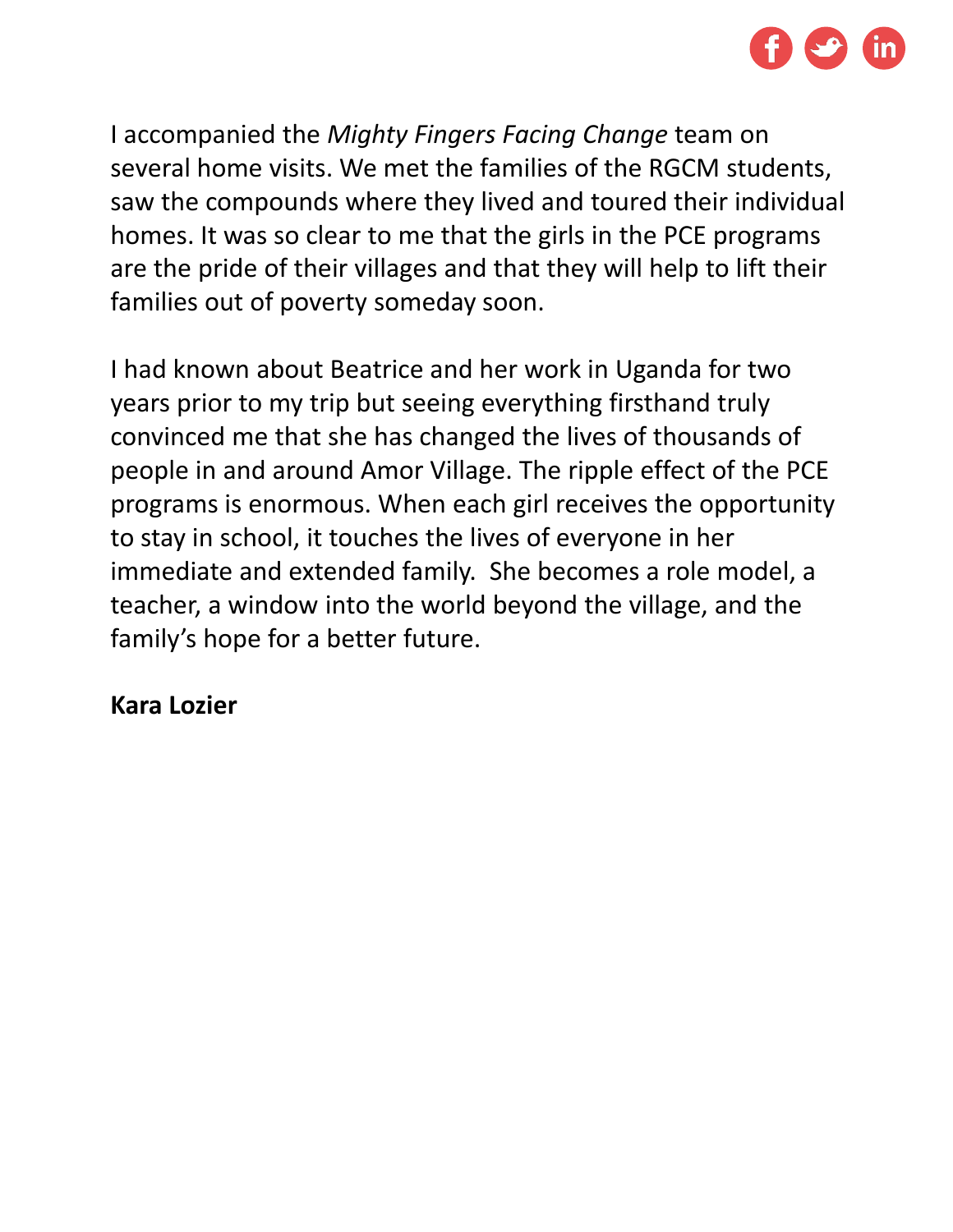

I accompanied the *Mighty Fingers Facing Change* team on several home visits. We met the families of the RGCM students, saw the compounds where they lived and toured their individual homes. It was so clear to me that the girls in the PCE programs are the pride of their villages and that they will help to lift their families out of poverty someday soon.

I had known about Beatrice and her work in Uganda for two years prior to my trip but seeing everything firsthand truly convinced me that she has changed the lives of thousands of people in and around Amor Village. The ripple effect of the PCE programs is enormous. When each girl receives the opportunity to stay in school, it touches the lives of everyone in her immediate and extended family. She becomes a role model, a teacher, a window into the world beyond the village, and the family's hope for a better future.

## **Kara Lozier**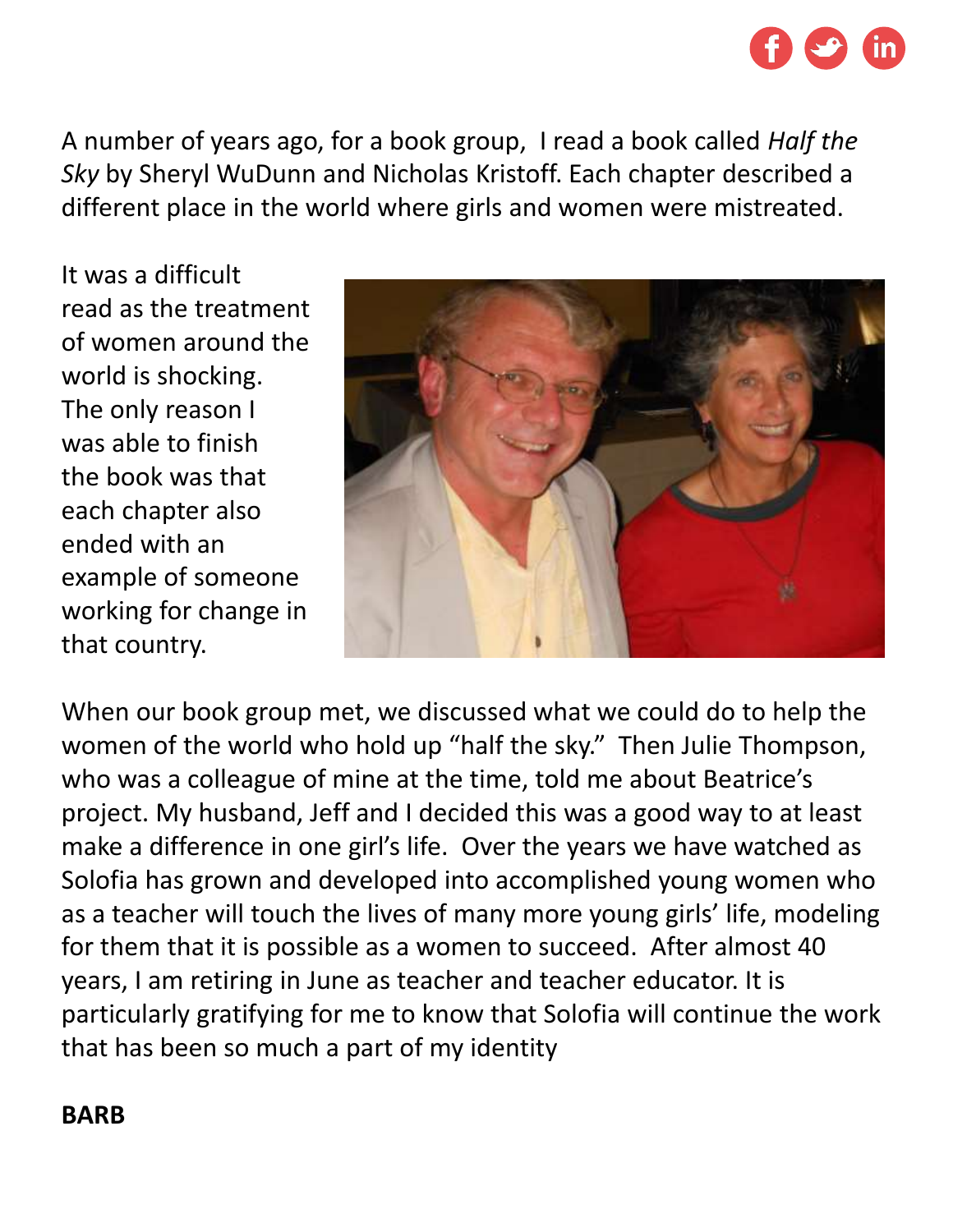

A number of years ago, for a book group, I read a book called *Half the Sky* by Sheryl WuDunn and Nicholas Kristoff. Each chapter described a different place in the world where girls and women were mistreated.

It was a difficult read as the treatment of women around the world is shocking. The only reason I was able to finish the book was that each chapter also ended with an example of someone working for change in that country.



When our book group met, we discussed what we could do to help the women of the world who hold up "half the sky." Then Julie Thompson, who was a colleague of mine at the time, told me about Beatrice's project. My husband, Jeff and I decided this was a good way to at least make a difference in one girl's life. Over the years we have watched as Solofia has grown and developed into accomplished young women who as a teacher will touch the lives of many more young girls' life, modeling for them that it is possible as a women to succeed. After almost 40 years, I am retiring in June as teacher and teacher educator. It is particularly gratifying for me to know that Solofia will continue the work that has been so much a part of my identity

#### **BARB**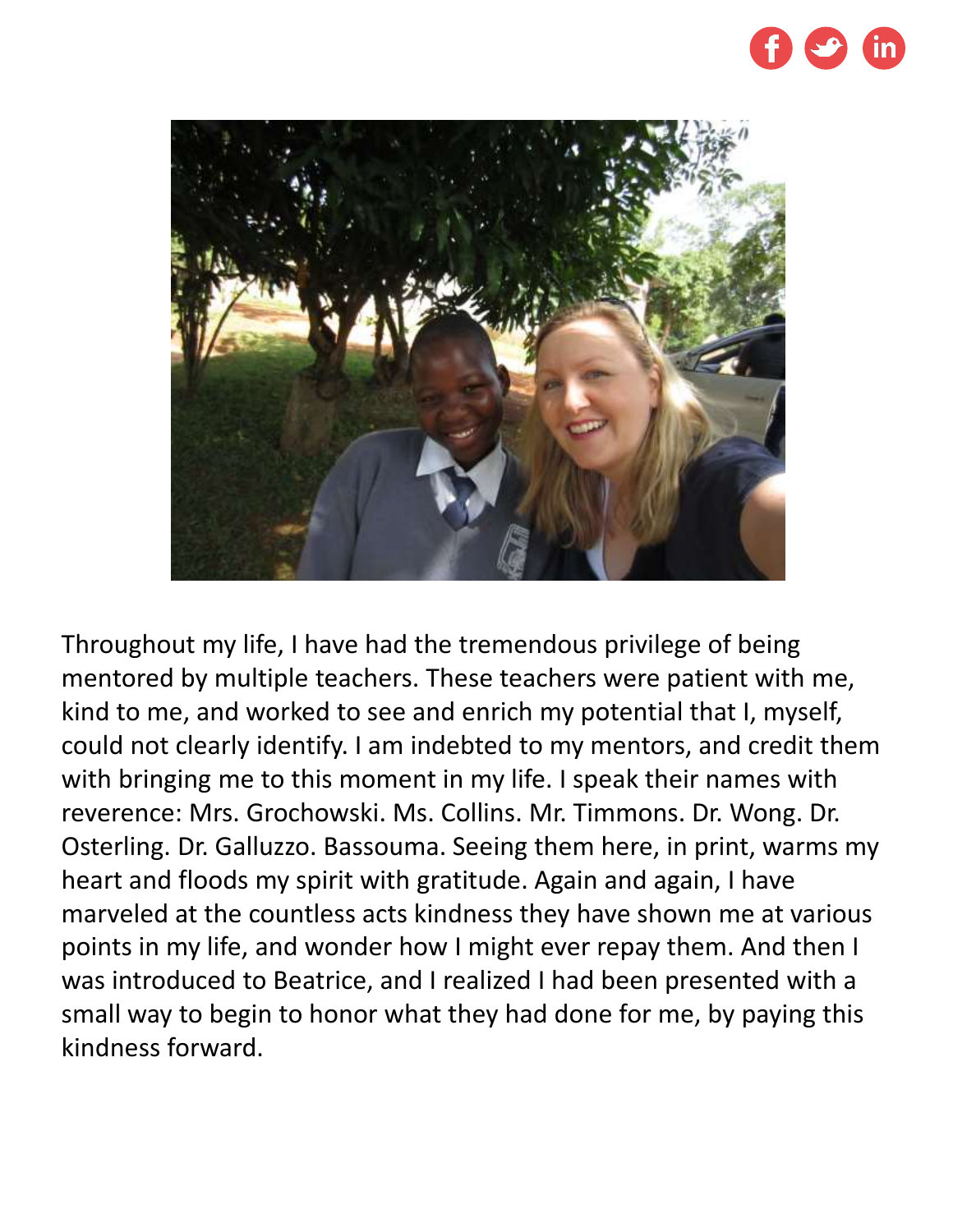



Throughout my life, I have had the tremendous privilege of being mentored by multiple teachers. These teachers were patient with me, kind to me, and worked to see and enrich my potential that I, myself, could not clearly identify. I am indebted to my mentors, and credit them with bringing me to this moment in my life. I speak their names with reverence: Mrs. Grochowski. Ms. Collins. Mr. Timmons. Dr. Wong. Dr. Osterling. Dr. Galluzzo. Bassouma. Seeing them here, in print, warms my heart and floods my spirit with gratitude. Again and again, I have marveled at the countless acts kindness they have shown me at various points in my life, and wonder how I might ever repay them. And then I was introduced to Beatrice, and I realized I had been presented with a small way to begin to honor what they had done for me, by paying this kindness forward.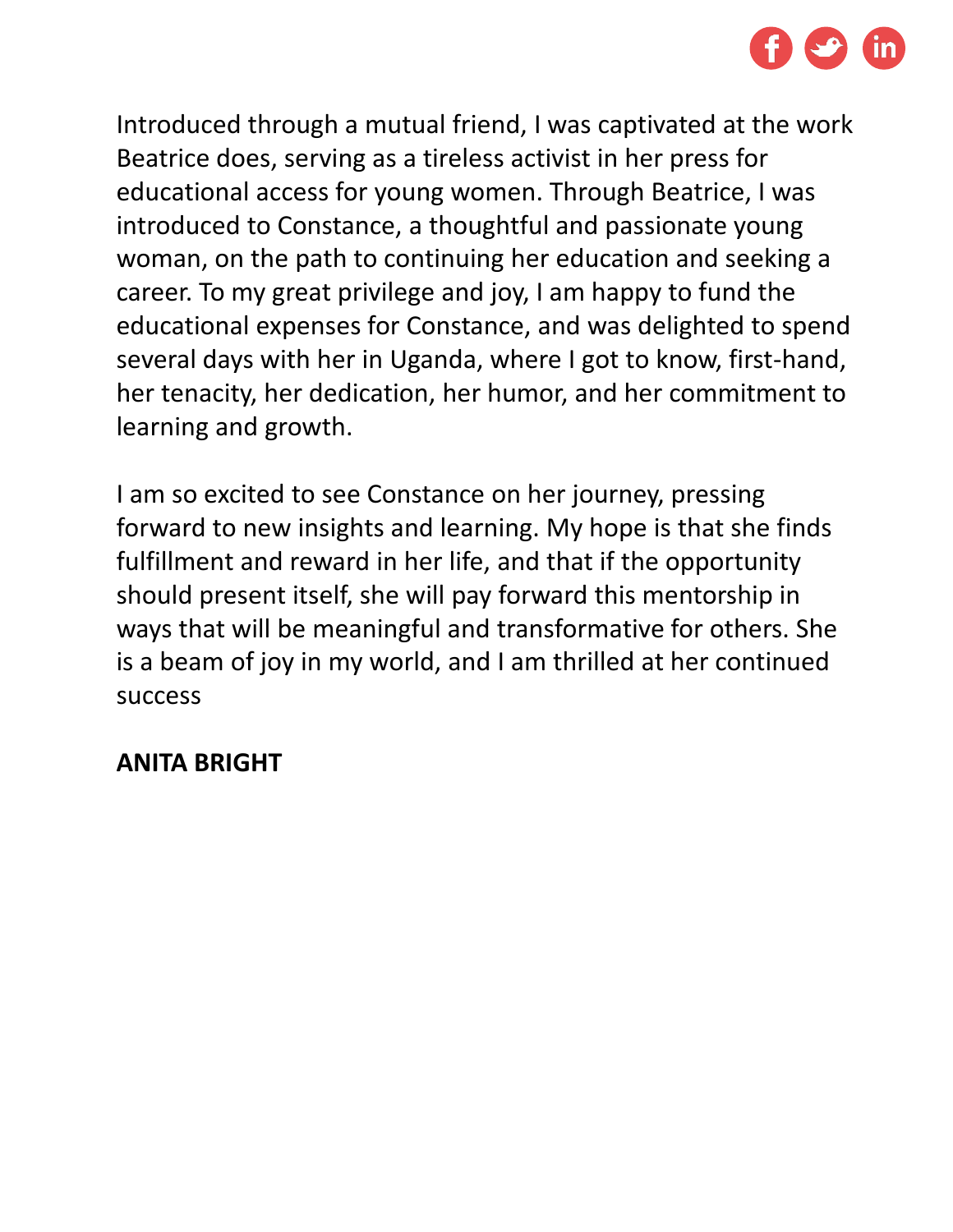

Introduced through a mutual friend, I was captivated at the work Beatrice does, serving as a tireless activist in her press for educational access for young women. Through Beatrice, I was introduced to Constance, a thoughtful and passionate young woman, on the path to continuing her education and seeking a career. To my great privilege and joy, I am happy to fund the educational expenses for Constance, and was delighted to spend several days with her in Uganda, where I got to know, first-hand, her tenacity, her dedication, her humor, and her commitment to learning and growth.

I am so excited to see Constance on her journey, pressing forward to new insights and learning. My hope is that she finds fulfillment and reward in her life, and that if the opportunity should present itself, she will pay forward this mentorship in ways that will be meaningful and transformative for others. She is a beam of joy in my world, and I am thrilled at her continued success

## **ANITA BRIGHT**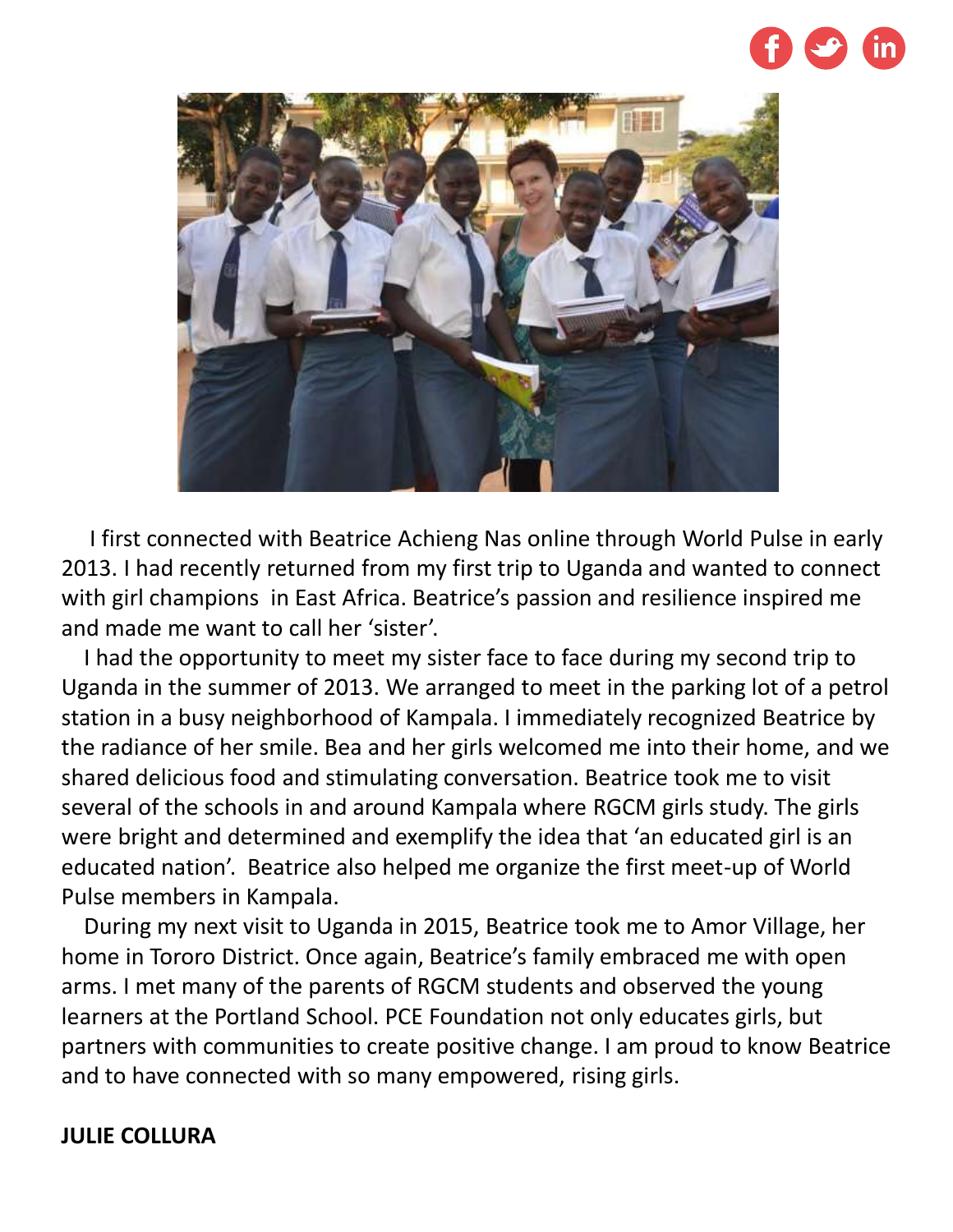



I first connected with Beatrice Achieng Nas online through World Pulse in early 2013. I had recently returned from my first trip to Uganda and wanted to connect with girl champions in East Africa. Beatrice's passion and resilience inspired me and made me want to call her 'sister'.

I had the opportunity to meet my sister face to face during my second trip to Uganda in the summer of 2013. We arranged to meet in the parking lot of a petrol station in a busy neighborhood of Kampala. I immediately recognized Beatrice by the radiance of her smile. Bea and her girls welcomed me into their home, and we shared delicious food and stimulating conversation. Beatrice took me to visit several of the schools in and around Kampala where RGCM girls study. The girls were bright and determined and exemplify the idea that 'an educated girl is an educated nation'. Beatrice also helped me organize the first meet-up of World Pulse members in Kampala.

During my next visit to Uganda in 2015, Beatrice took me to Amor Village, her home in Tororo District. Once again, Beatrice's family embraced me with open arms. I met many of the parents of RGCM students and observed the young learners at the Portland School. PCE Foundation not only educates girls, but partners with communities to create positive change. I am proud to know Beatrice and to have connected with so many empowered, rising girls.

#### **JULIE COLLURA**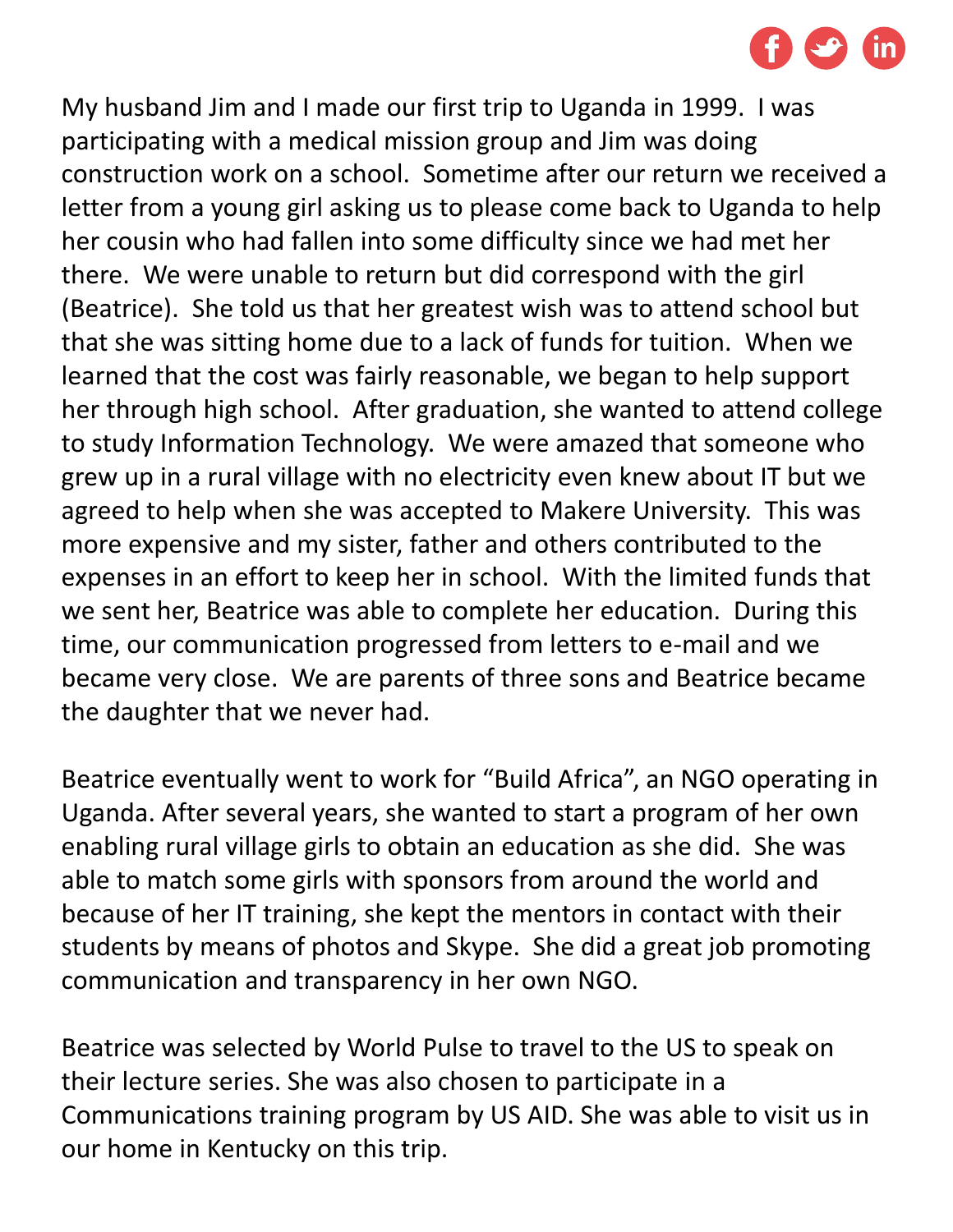

My husband Jim and I made our first trip to Uganda in 1999. I was participating with a medical mission group and Jim was doing construction work on a school. Sometime after our return we received a letter from a young girl asking us to please come back to Uganda to help her cousin who had fallen into some difficulty since we had met her there. We were unable to return but did correspond with the girl (Beatrice). She told us that her greatest wish was to attend school but that she was sitting home due to a lack of funds for tuition. When we learned that the cost was fairly reasonable, we began to help support her through high school. After graduation, she wanted to attend college to study Information Technology. We were amazed that someone who grew up in a rural village with no electricity even knew about IT but we agreed to help when she was accepted to Makere University. This was more expensive and my sister, father and others contributed to the expenses in an effort to keep her in school. With the limited funds that we sent her, Beatrice was able to complete her education. During this time, our communication progressed from letters to e-mail and we became very close. We are parents of three sons and Beatrice became the daughter that we never had.

Beatrice eventually went to work for "Build Africa", an NGO operating in Uganda. After several years, she wanted to start a program of her own enabling rural village girls to obtain an education as she did. She was able to match some girls with sponsors from around the world and because of her IT training, she kept the mentors in contact with their students by means of photos and Skype. She did a great job promoting communication and transparency in her own NGO.

Beatrice was selected by World Pulse to travel to the US to speak on their lecture series. She was also chosen to participate in a Communications training program by US AID. She was able to visit us in our home in Kentucky on this trip.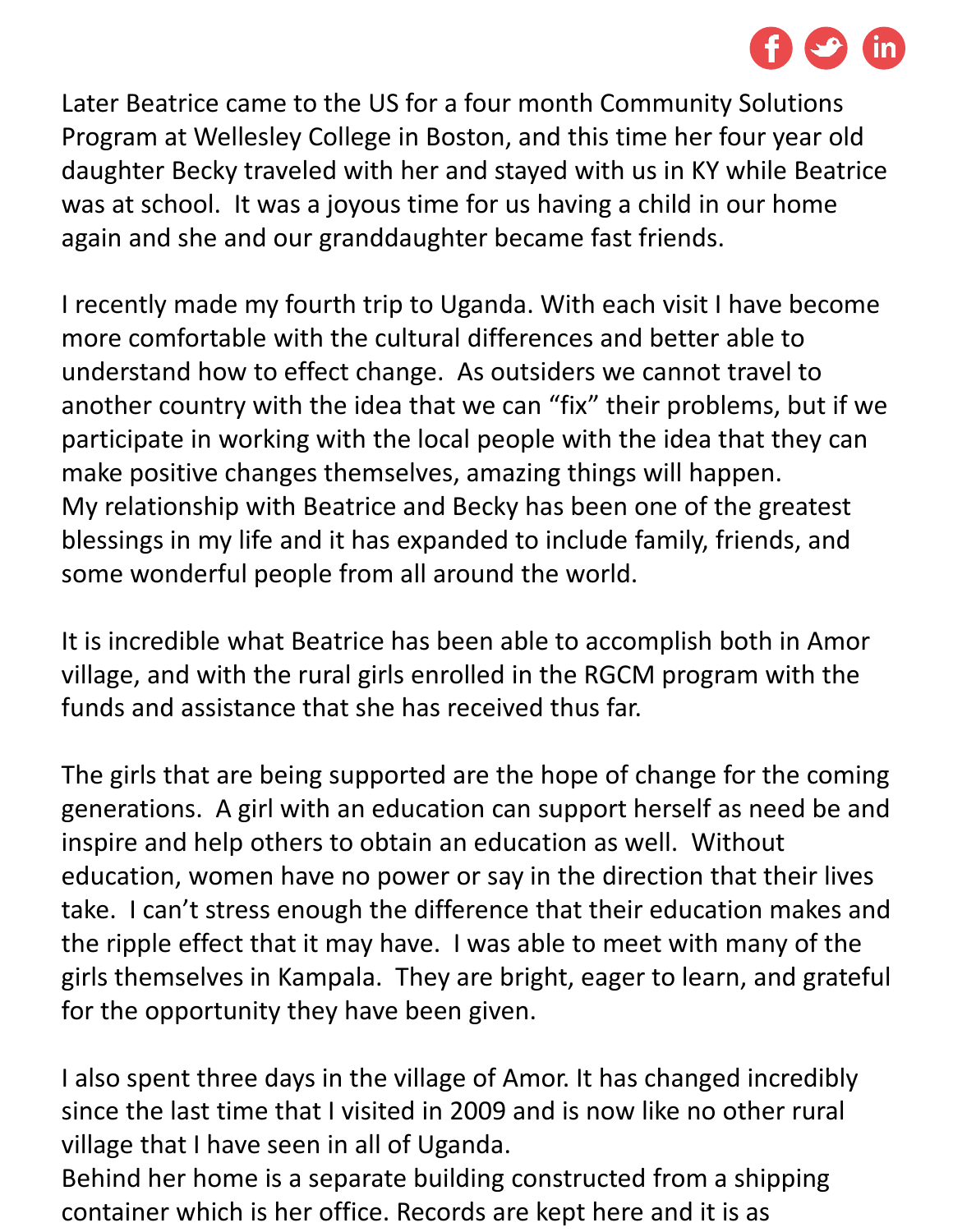

Later Beatrice came to the US for a four month Community Solutions Program at Wellesley College in Boston, and this time her four year old daughter Becky traveled with her and stayed with us in KY while Beatrice was at school. It was a joyous time for us having a child in our home again and she and our granddaughter became fast friends.

I recently made my fourth trip to Uganda. With each visit I have become more comfortable with the cultural differences and better able to understand how to effect change. As outsiders we cannot travel to another country with the idea that we can "fix" their problems, but if we participate in working with the local people with the idea that they can make positive changes themselves, amazing things will happen. My relationship with Beatrice and Becky has been one of the greatest blessings in my life and it has expanded to include family, friends, and some wonderful people from all around the world.

It is incredible what Beatrice has been able to accomplish both in Amor village, and with the rural girls enrolled in the RGCM program with the funds and assistance that she has received thus far.

The girls that are being supported are the hope of change for the coming generations. A girl with an education can support herself as need be and inspire and help others to obtain an education as well. Without education, women have no power or say in the direction that their lives take. I can't stress enough the difference that their education makes and the ripple effect that it may have. I was able to meet with many of the girls themselves in Kampala. They are bright, eager to learn, and grateful for the opportunity they have been given.

I also spent three days in the village of Amor. It has changed incredibly since the last time that I visited in 2009 and is now like no other rural village that I have seen in all of Uganda.

Behind her home is a separate building constructed from a shipping container which is her office. Records are kept here and it is as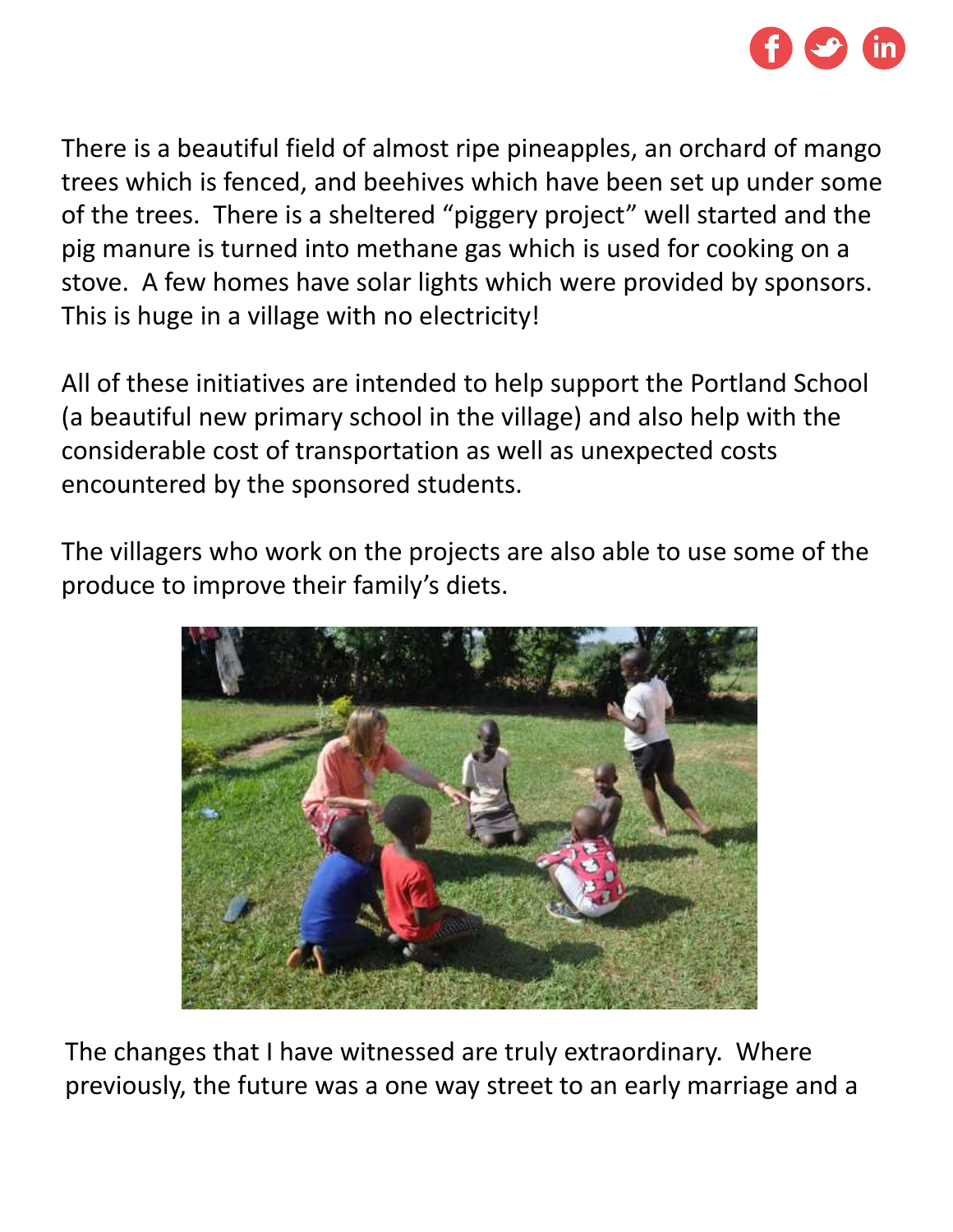

There is a beautiful field of almost ripe pineapples, an orchard of mango trees which is fenced, and beehives which have been set up under some of the trees. There is a sheltered "piggery project" well started and the pig manure is turned into methane gas which is used for cooking on a stove. A few homes have solar lights which were provided by sponsors. This is huge in a village with no electricity!

All of these initiatives are intended to help support the Portland School (a beautiful new primary school in the village) and also help with the considerable cost of transportation as well as unexpected costs encountered by the sponsored students.

The villagers who work on the projects are also able to use some of the produce to improve their family's diets.



The changes that I have witnessed are truly extraordinary. Where previously, the future was a one way street to an early marriage and a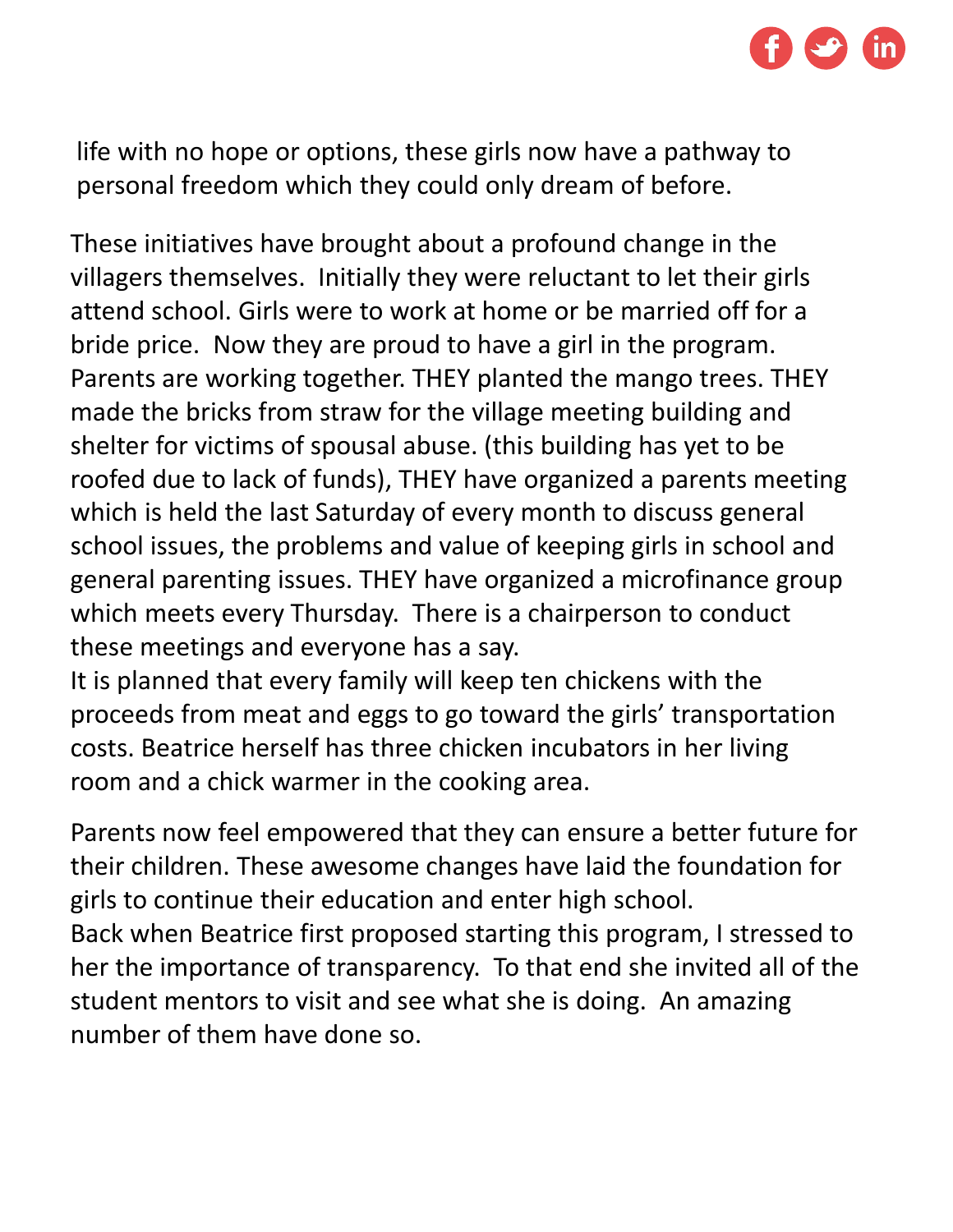

life with no hope or options, these girls now have a pathway to personal freedom which they could only dream of before.

These initiatives have brought about a profound change in the villagers themselves. Initially they were reluctant to let their girls attend school. Girls were to work at home or be married off for a bride price. Now they are proud to have a girl in the program. Parents are working together. THEY planted the mango trees. THEY made the bricks from straw for the village meeting building and shelter for victims of spousal abuse. (this building has yet to be roofed due to lack of funds), THEY have organized a parents meeting which is held the last Saturday of every month to discuss general school issues, the problems and value of keeping girls in school and general parenting issues. THEY have organized a microfinance group which meets every Thursday. There is a chairperson to conduct these meetings and everyone has a say.

It is planned that every family will keep ten chickens with the proceeds from meat and eggs to go toward the girls' transportation costs. Beatrice herself has three chicken incubators in her living room and a chick warmer in the cooking area.

Parents now feel empowered that they can ensure a better future for their children. These awesome changes have laid the foundation for girls to continue their education and enter high school. Back when Beatrice first proposed starting this program, I stressed to her the importance of transparency. To that end she invited all of the student mentors to visit and see what she is doing. An amazing number of them have done so.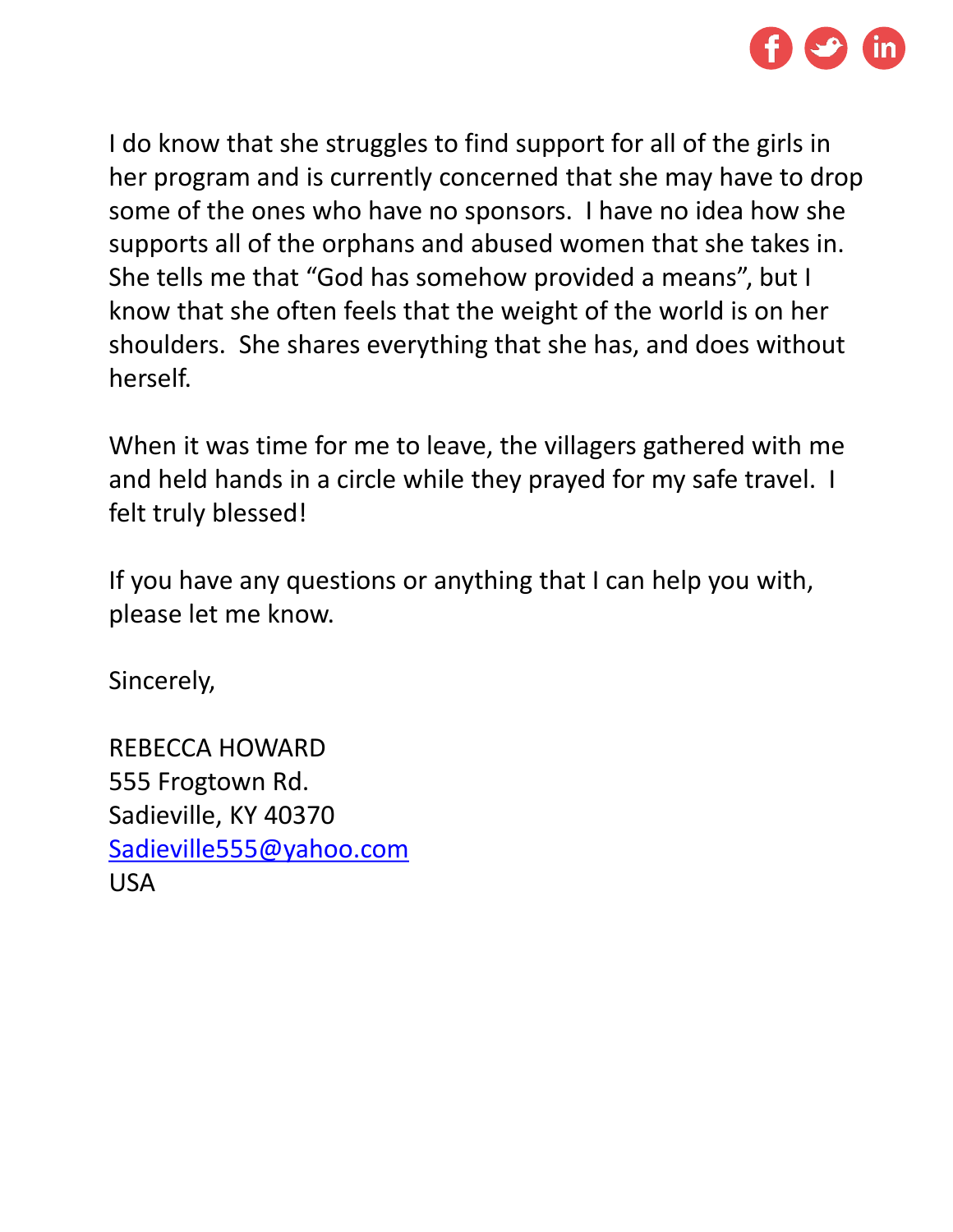

I do know that she struggles to find support for all of the girls in her program and is currently concerned that she may have to drop some of the ones who have no sponsors. I have no idea how she supports all of the orphans and abused women that she takes in. She tells me that "God has somehow provided a means", but I know that she often feels that the weight of the world is on her shoulders. She shares everything that she has, and does without herself.

When it was time for me to leave, the villagers gathered with me and held hands in a circle while they prayed for my safe travel. I felt truly blessed!

If you have any questions or anything that I can help you with, please let me know.

Sincerely,

REBECCA HOWARD 555 Frogtown Rd. Sadieville, KY 40370 [Sadieville555@yahoo.com](mailto:Sadieville555@yahoo.com) USA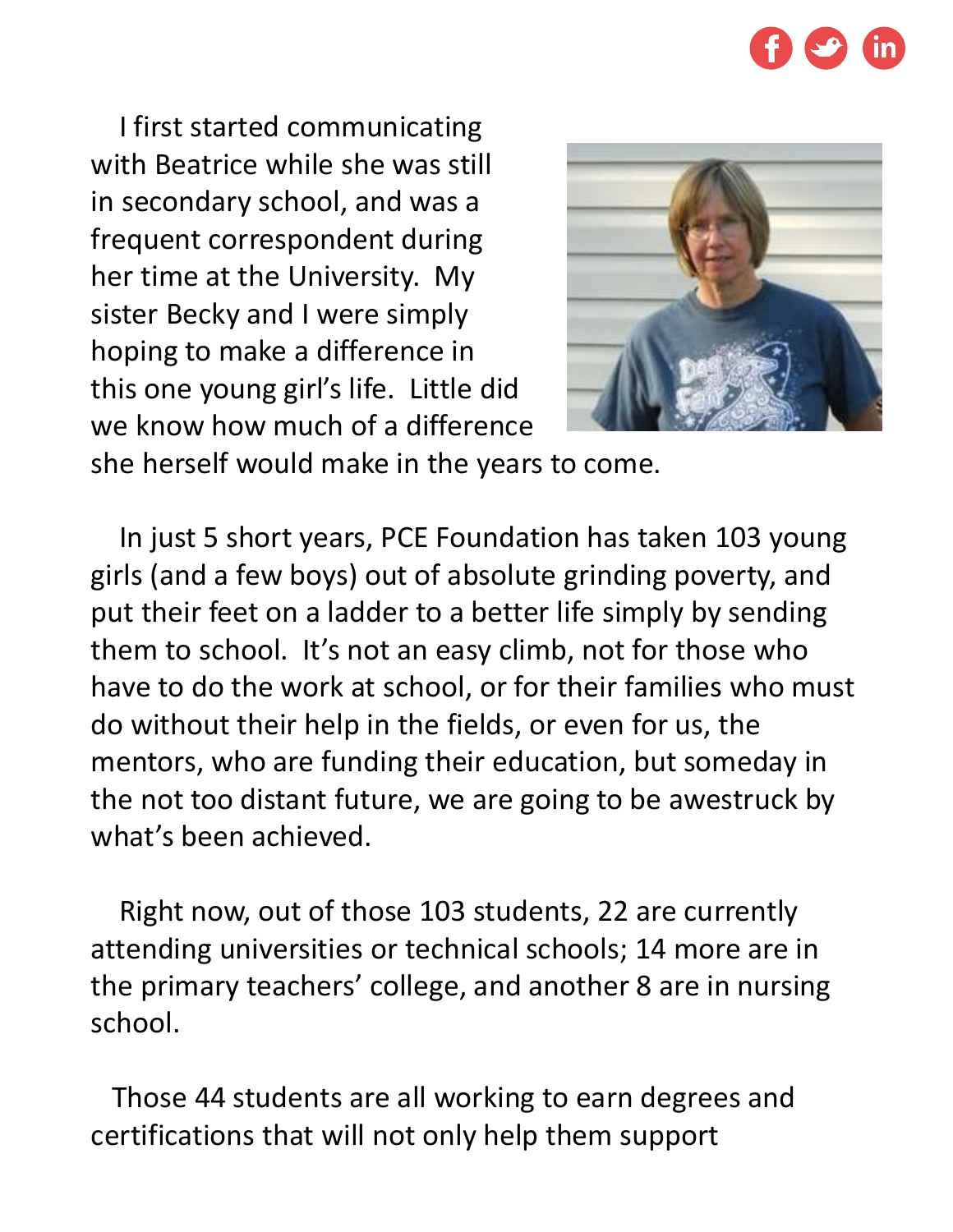

I first started communicating with Beatrice while she was still in secondary school, and was a frequent correspondent during her time at the University. My sister Becky and I were simply hoping to make a difference in this one young girl's life. Little did we know how much of a difference



she herself would make in the years to come.

In just 5 short years, PCE Foundation has taken 103 young girls (and a few boys) out of absolute grinding poverty, and put their feet on a ladder to a better life simply by sending them to school. It's not an easy climb, not for those who have to do the work at school, or for their families who must do without their help in the fields, or even for us, the mentors, who are funding their education, but someday in the not too distant future, we are going to be awestruck by what's been achieved.

Right now, out of those 103 students, 22 are currently attending universities or technical schools; 14 more are in the primary teachers' college, and another 8 are in nursing school.

Those 44 students are all working to earn degrees and certifications that will not only help them support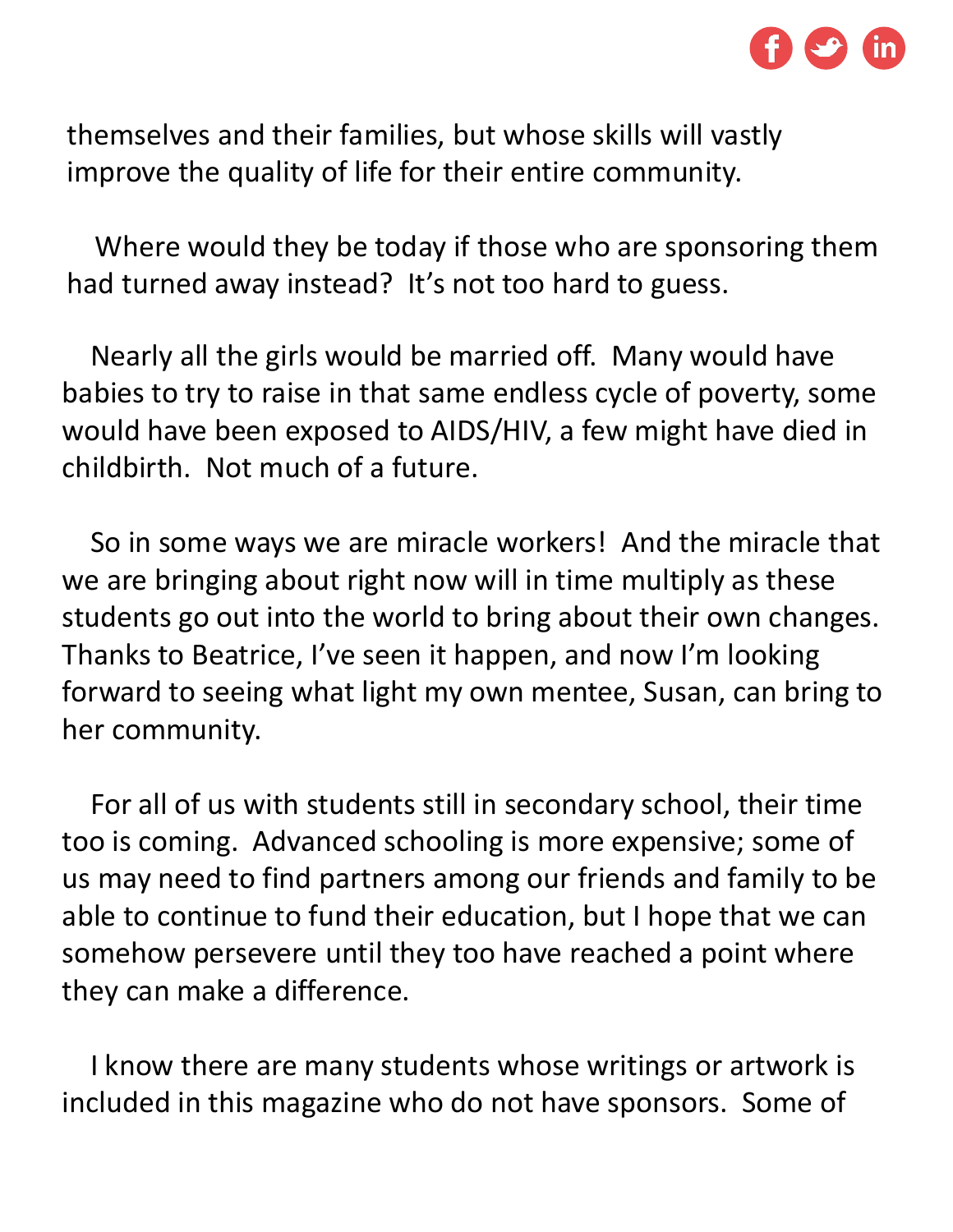

themselves and their families, but whose skills will vastly improve the quality of life for their entire community.

Where would they be today if those who are sponsoring them had turned away instead? It's not too hard to guess.

Nearly all the girls would be married off. Many would have babies to try to raise in that same endless cycle of poverty, some would have been exposed to AIDS/HIV, a few might have died in childbirth. Not much of a future.

So in some ways we are miracle workers! And the miracle that we are bringing about right now will in time multiply as these students go out into the world to bring about their own changes. Thanks to Beatrice, I've seen it happen, and now I'm looking forward to seeing what light my own mentee, Susan, can bring to her community.

For all of us with students still in secondary school, their time too is coming. Advanced schooling is more expensive; some of us may need to find partners among our friends and family to be able to continue to fund their education, but I hope that we can somehow persevere until they too have reached a point where they can make a difference.

I know there are many students whose writings or artwork is included in this magazine who do not have sponsors. Some of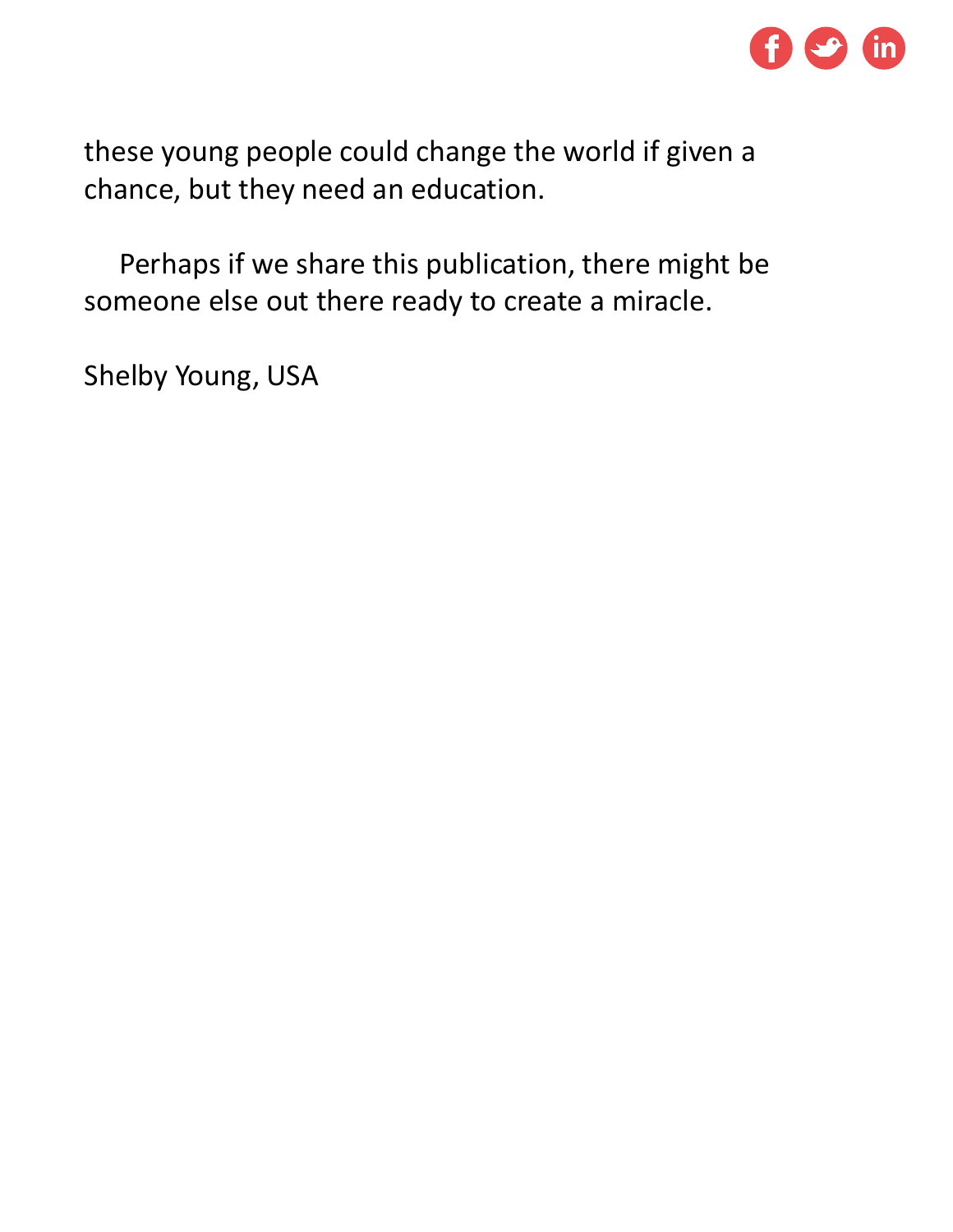

these young people could change the world if given a chance, but they need an education.

Perhaps if we share this publication, there might be someone else out there ready to create a miracle.

Shelby Young, USA